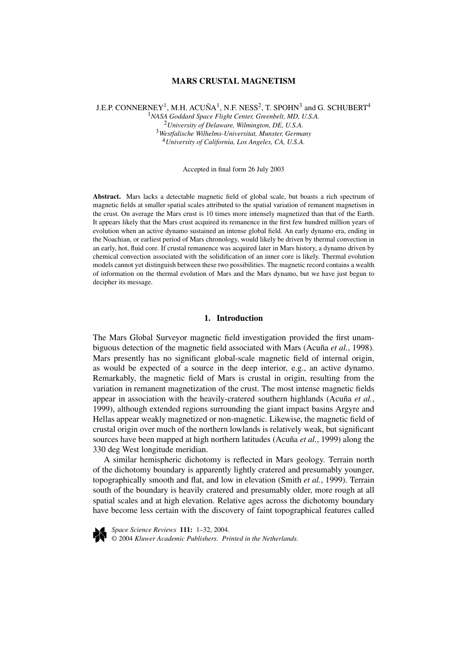## **MARS CRUSTAL MAGNETISM**

J.E.P. CONNERNEY<sup>1</sup>, M.H. ACUÑA<sup>1</sup>, N.F. NESS<sup>2</sup>, T. SPOHN<sup>3</sup> and G. SCHUBERT<sup>4</sup>

<sup>1</sup>*NASA Goddard Space Flight Center, Greenbelt, MD, U.S.A.*

<sup>2</sup>*University of Delaware, Wilmington, DE, U.S.A.* <sup>3</sup>*Westfalische Wilhelms-Universitat, Munster, Germany*

<sup>4</sup>*University of California, Los Angeles, CA, U.S.A.*

Accepted in final form 26 July 2003

**Abstract.** Mars lacks a detectable magnetic field of global scale, but boasts a rich spectrum of magnetic fields at smaller spatial scales attributed to the spatial variation of remanent magnetism in the crust. On average the Mars crust is 10 times more intensely magnetized than that of the Earth. It appears likely that the Mars crust acquired its remanence in the first few hundred million years of evolution when an active dynamo sustained an intense global field. An early dynamo era, ending in the Noachian, or earliest period of Mars chronology, would likely be driven by thermal convection in an early, hot, fluid core. If crustal remanence was acquired later in Mars history, a dynamo driven by chemical convection associated with the solidification of an inner core is likely. Thermal evolution models cannot yet distinguish between these two possibilities. The magnetic record contains a wealth of information on the thermal evolution of Mars and the Mars dynamo, but we have just begun to decipher its message.

### **1. Introduction**

The Mars Global Surveyor magnetic field investigation provided the first unambiguous detection of the magnetic field associated with Mars (Acuña *et al.*, 1998). Mars presently has no significant global-scale magnetic field of internal origin, as would be expected of a source in the deep interior, e.g., an active dynamo. Remarkably, the magnetic field of Mars is crustal in origin, resulting from the variation in remanent magnetization of the crust. The most intense magnetic fields appear in association with the heavily-cratered southern highlands (Acuña *et al.*, 1999), although extended regions surrounding the giant impact basins Argyre and Hellas appear weakly magnetized or non-magnetic. Likewise, the magnetic field of crustal origin over much of the northern lowlands is relatively weak, but significant sources have been mapped at high northern latitudes (Acuña *et al.*, 1999) along the 330 deg West longitude meridian.

A similar hemispheric dichotomy is reflected in Mars geology. Terrain north of the dichotomy boundary is apparently lightly cratered and presumably younger, topographically smooth and flat, and low in elevation (Smith *et al.*, 1999). Terrain south of the boundary is heavily cratered and presumably older, more rough at all spatial scales and at high elevation. Relative ages across the dichotomy boundary have become less certain with the discovery of faint topographical features called

*Space Science Reviews* **111:** 1–32, 2004. © 2004 *Kluwer Academic Publishers. Printed in the Netherlands.*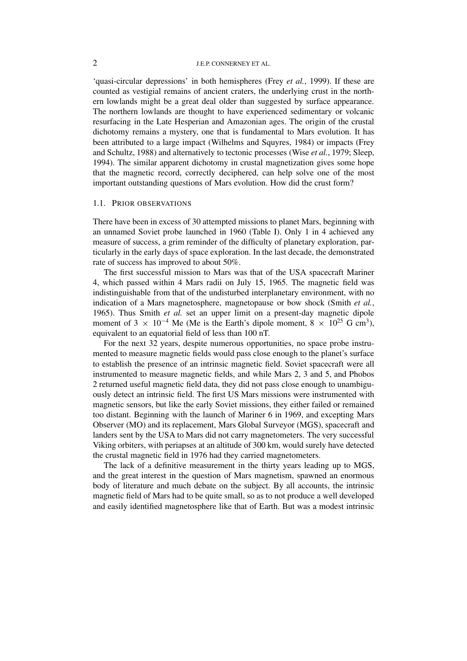# 2 J.E.P. CONNERNEY ET AL.

'quasi-circular depressions' in both hemispheres (Frey *et al.*, 1999). If these are counted as vestigial remains of ancient craters, the underlying crust in the northern lowlands might be a great deal older than suggested by surface appearance. The northern lowlands are thought to have experienced sedimentary or volcanic resurfacing in the Late Hesperian and Amazonian ages. The origin of the crustal dichotomy remains a mystery, one that is fundamental to Mars evolution. It has been attributed to a large impact (Wilhelms and Squyres, 1984) or impacts (Frey and Schultz, 1988) and alternatively to tectonic processes (Wise *et al.*, 1979; Sleep, 1994). The similar apparent dichotomy in crustal magnetization gives some hope that the magnetic record, correctly deciphered, can help solve one of the most important outstanding questions of Mars evolution. How did the crust form?

# 1.1. PRIOR OBSERVATIONS

There have been in excess of 30 attempted missions to planet Mars, beginning with an unnamed Soviet probe launched in 1960 (Table I). Only 1 in 4 achieved any measure of success, a grim reminder of the difficulty of planetary exploration, particularly in the early days of space exploration. In the last decade, the demonstrated rate of success has improved to about 50%.

The first successful mission to Mars was that of the USA spacecraft Mariner 4, which passed within 4 Mars radii on July 15, 1965. The magnetic field was indistinguishable from that of the undisturbed interplanetary environment, with no indication of a Mars magnetosphere, magnetopause or bow shock (Smith *et al.*, 1965). Thus Smith *et al.* set an upper limit on a present-day magnetic dipole moment of 3  $\times$  10<sup>-4</sup> Me (Me is the Earth's dipole moment, 8  $\times$  10<sup>25</sup> G cm<sup>3</sup>), equivalent to an equatorial field of less than 100 nT.

For the next 32 years, despite numerous opportunities, no space probe instrumented to measure magnetic fields would pass close enough to the planet's surface to establish the presence of an intrinsic magnetic field. Soviet spacecraft were all instrumented to measure magnetic fields, and while Mars 2, 3 and 5, and Phobos 2 returned useful magnetic field data, they did not pass close enough to unambiguously detect an intrinsic field. The first US Mars missions were instrumented with magnetic sensors, but like the early Soviet missions, they either failed or remained too distant. Beginning with the launch of Mariner 6 in 1969, and excepting Mars Observer (MO) and its replacement, Mars Global Surveyor (MGS), spacecraft and landers sent by the USA to Mars did not carry magnetometers. The very successful Viking orbiters, with periapses at an altitude of 300 km, would surely have detected the crustal magnetic field in 1976 had they carried magnetometers.

The lack of a definitive measurement in the thirty years leading up to MGS, and the great interest in the question of Mars magnetism, spawned an enormous body of literature and much debate on the subject. By all accounts, the intrinsic magnetic field of Mars had to be quite small, so as to not produce a well developed and easily identified magnetosphere like that of Earth. But was a modest intrinsic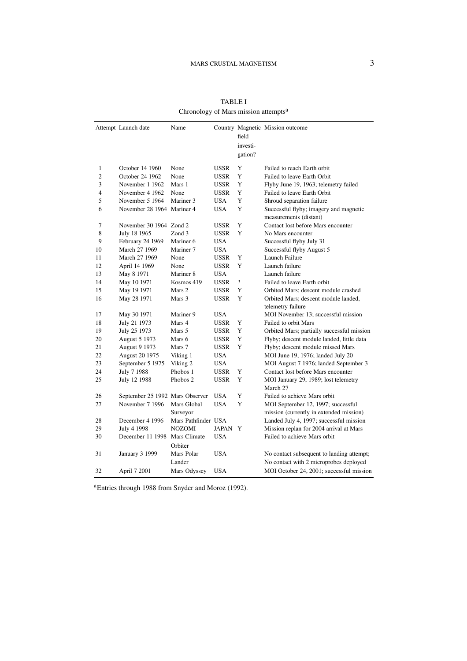|                | Attempt Launch date             | Name                    |             | field<br>investi-<br>gation? | Country Magnetic Mission outcome                                                    |
|----------------|---------------------------------|-------------------------|-------------|------------------------------|-------------------------------------------------------------------------------------|
| 1              | October 14 1960                 | None                    | USSR        | Y                            | Failed to reach Earth orbit                                                         |
| $\overline{c}$ | October 24 1962                 | None                    | <b>USSR</b> | Y                            | Failed to leave Earth Orbit                                                         |
| 3              | November 1 1962                 | Mars 1                  | <b>USSR</b> | Y                            | Flyby June 19, 1963; telemetry failed                                               |
| 4              | November 4 1962                 | None                    | USSR        | Y                            | Failed to leave Earth Orbit                                                         |
| 5              | November 5 1964                 | Mariner 3               | <b>USA</b>  | Y                            | Shroud separation failure                                                           |
| 6              | November 28 1964 Mariner 4      |                         | <b>USA</b>  | Y                            | Successful flyby; imagery and magnetic<br>measurements (distant)                    |
| 7              | November 30 1964 Zond 2         |                         | <b>USSR</b> | Y                            | Contact lost before Mars encounter                                                  |
| 8              | July 18 1965                    | Zond 3                  | <b>USSR</b> | Y                            | No Mars encounter                                                                   |
| 9              | February 24 1969                | Mariner 6               | <b>USA</b>  |                              | Successful flyby July 31                                                            |
| 10             | March 27 1969                   | Mariner 7               | <b>USA</b>  |                              | Successful flyby August 5                                                           |
| 11             | March 27 1969                   | None                    | <b>USSR</b> | Y                            | Launch Failure                                                                      |
| 12             | April 14 1969                   | None                    | <b>USSR</b> | Y                            | Launch failure                                                                      |
| 13             | May 8 1971                      | Mariner 8               | <b>USA</b>  |                              | Launch failure                                                                      |
| 14             | May 10 1971                     | Kosmos 419              | USSR        | $\overline{?}$               | Failed to leave Earth orbit                                                         |
| 15             | May 19 1971                     | Mars 2                  | <b>USSR</b> | Y                            | Orbited Mars; descent module crashed                                                |
| 16             | May 28 1971                     | Mars 3                  | <b>USSR</b> | Y                            | Orbited Mars; descent module landed,<br>telemetry failure                           |
| 17             | May 30 1971                     | Mariner 9               | <b>USA</b>  |                              | MOI November 13; successful mission                                                 |
| 18             | July 21 1973                    | Mars 4                  | <b>USSR</b> | Y                            | Failed to orbit Mars                                                                |
| 19             | July 25 1973                    | Mars 5                  | <b>USSR</b> | Y                            | Orbited Mars; partially successful mission                                          |
| 20             | <b>August 5 1973</b>            | Mars 6                  | <b>USSR</b> | Y                            | Flyby; descent module landed, little data                                           |
| 21             | <b>August 9 1973</b>            | Mars 7                  | <b>USSR</b> | Y                            | Flyby; descent module missed Mars                                                   |
| 22             | <b>August 20 1975</b>           | Viking 1                | USA         |                              | MOI June 19, 1976; landed July 20                                                   |
| 23             | September 5 1975                | Viking 2                | <b>USA</b>  |                              | MOI August 7 1976; landed September 3                                               |
| 24             | July 7 1988                     | Phobos 1                | <b>USSR</b> | Y                            | Contact lost before Mars encounter                                                  |
| 25             | July 12 1988                    | Phobos 2                | USSR        | Y                            | MOI January 29, 1989; lost telemetry<br>March 27                                    |
| 26             | September 25 1992 Mars Observer |                         | <b>USA</b>  | Y                            | Failed to achieve Mars orbit                                                        |
| 27             | November 7 1996                 | Mars Global<br>Surveyor | <b>USA</b>  | Y                            | MOI September 12, 1997; successful<br>mission (currently in extended mission)       |
| 28             | December 4 1996                 | Mars Pathfinder USA     |             |                              | Landed July 4, 1997; successful mission                                             |
| 29             | July 4 1998                     | <b>NOZOMI</b>           | JAPAN Y     |                              | Mission replan for 2004 arrival at Mars                                             |
| 30             | December 11 1998 Mars Climate   | Orbiter                 | <b>USA</b>  |                              | Failed to achieve Mars orbit                                                        |
| 31             | <b>January 3 1999</b>           | Mars Polar<br>Lander    | <b>USA</b>  |                              | No contact subsequent to landing attempt;<br>No contact with 2 microprobes deployed |
| 32             | April 7 2001                    | Mars Odyssey            | <b>USA</b>  |                              | MOI October 24, 2001; successful mission                                            |

TABLE I Chronology of Mars mission attempts<sup>a</sup>

aEntries through 1988 from Snyder and Moroz (1992).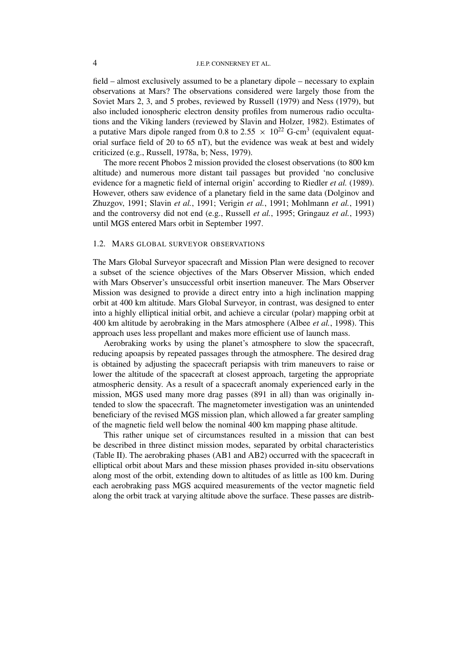field – almost exclusively assumed to be a planetary dipole – necessary to explain observations at Mars? The observations considered were largely those from the Soviet Mars 2, 3, and 5 probes, reviewed by Russell (1979) and Ness (1979), but also included ionospheric electron density profiles from numerous radio occultations and the Viking landers (reviewed by Slavin and Holzer, 1982). Estimates of a putative Mars dipole ranged from 0.8 to 2.55  $\times$  10<sup>22</sup> G-cm<sup>3</sup> (equivalent equatorial surface field of 20 to 65 nT), but the evidence was weak at best and widely criticized (e.g., Russell, 1978a, b; Ness, 1979).

The more recent Phobos 2 mission provided the closest observations (to 800 km altitude) and numerous more distant tail passages but provided 'no conclusive evidence for a magnetic field of internal origin' according to Riedler *et al.* (1989). However, others saw evidence of a planetary field in the same data (Dolginov and Zhuzgov, 1991; Slavin *et al.*, 1991; Verigin *et al.*, 1991; Mohlmann *et al.*, 1991) and the controversy did not end (e.g., Russell *et al.*, 1995; Gringauz *et al.*, 1993) until MGS entered Mars orbit in September 1997.

## 1.2. MARS GLOBAL SURVEYOR OBSERVATIONS

The Mars Global Surveyor spacecraft and Mission Plan were designed to recover a subset of the science objectives of the Mars Observer Mission, which ended with Mars Observer's unsuccessful orbit insertion maneuver. The Mars Observer Mission was designed to provide a direct entry into a high inclination mapping orbit at 400 km altitude. Mars Global Surveyor, in contrast, was designed to enter into a highly elliptical initial orbit, and achieve a circular (polar) mapping orbit at 400 km altitude by aerobraking in the Mars atmosphere (Albee *et al.*, 1998). This approach uses less propellant and makes more efficient use of launch mass.

Aerobraking works by using the planet's atmosphere to slow the spacecraft, reducing apoapsis by repeated passages through the atmosphere. The desired drag is obtained by adjusting the spacecraft periapsis with trim maneuvers to raise or lower the altitude of the spacecraft at closest approach, targeting the appropriate atmospheric density. As a result of a spacecraft anomaly experienced early in the mission, MGS used many more drag passes (891 in all) than was originally intended to slow the spacecraft. The magnetometer investigation was an unintended beneficiary of the revised MGS mission plan, which allowed a far greater sampling of the magnetic field well below the nominal 400 km mapping phase altitude.

This rather unique set of circumstances resulted in a mission that can best be described in three distinct mission modes, separated by orbital characteristics (Table II). The aerobraking phases (AB1 and AB2) occurred with the spacecraft in elliptical orbit about Mars and these mission phases provided in-situ observations along most of the orbit, extending down to altitudes of as little as 100 km. During each aerobraking pass MGS acquired measurements of the vector magnetic field along the orbit track at varying altitude above the surface. These passes are distrib-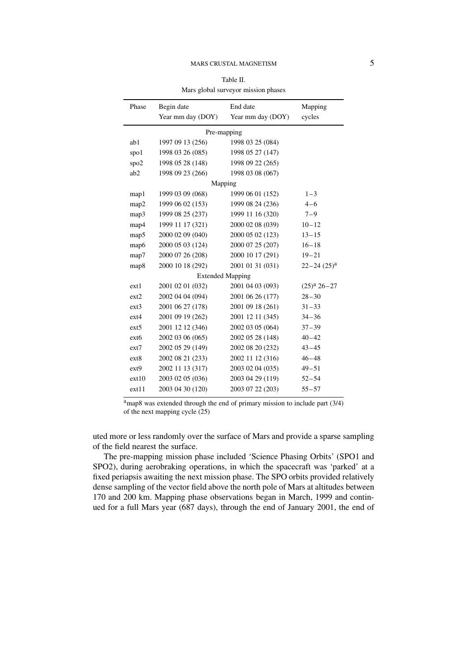# MARS CRUSTAL MAGNETISM 5

| Mars giobal surveyor mission phases |                   |                         |                    |  |  |  |  |
|-------------------------------------|-------------------|-------------------------|--------------------|--|--|--|--|
| Phase                               | Begin date        | End date                | Mapping            |  |  |  |  |
|                                     | Year mm day (DOY) | Year mm day (DOY)       | cycles             |  |  |  |  |
| Pre-mapping                         |                   |                         |                    |  |  |  |  |
| ab1                                 | 1997 09 13 (256)  | 1998 03 25 (084)        |                    |  |  |  |  |
| spo1                                | 1998 03 26 (085)  | 1998 05 27 (147)        |                    |  |  |  |  |
| spo <sub>2</sub>                    | 1998 05 28 (148)  | 1998 09 22 (265)        |                    |  |  |  |  |
| ab2                                 | 1998 09 23 (266)  | 1998 03 08 (067)        |                    |  |  |  |  |
| Mapping                             |                   |                         |                    |  |  |  |  |
| map1                                | 1999 03 09 (068)  | 1999 06 01 (152)        | $1 - 3$            |  |  |  |  |
| map2                                | 1999 06 02 (153)  | 1999 08 24 (236)        | $4 - 6$            |  |  |  |  |
| map3                                | 1999 08 25 (237)  | 1999 11 16 (320)        | $7 - 9$            |  |  |  |  |
| map4                                | 1999 11 17 (321)  | 2000 02 08 (039)        | $10 - 12$          |  |  |  |  |
| map <sub>5</sub>                    | 2000 02 09 (040)  | 2000 05 02 (123)        | $13 - 15$          |  |  |  |  |
| map6                                | 2000 05 03 (124)  | 2000 07 25 (207)        | $16 - 18$          |  |  |  |  |
| map7                                | 2000 07 26 (208)  | 2000 10 17 (291)        | $19 - 21$          |  |  |  |  |
| map8                                | 2000 10 18 (292)  | 2001 01 31 (031)        | $22 - 24$ $(25)^a$ |  |  |  |  |
|                                     |                   | <b>Extended Mapping</b> |                    |  |  |  |  |
| ext1                                | 2001 02 01 (032)  | 2001 04 03 (093)        | $(25)^{a} 26 - 27$ |  |  |  |  |
| ext2                                | 2002 04 04 (094)  | 2001 06 26 (177)        | $28 - 30$          |  |  |  |  |
| $ext{3}$                            | 2001 06 27 (178)  | 2001 09 18 (261)        | $31 - 33$          |  |  |  |  |
| ext4                                | 2001 09 19 (262)  | 2001 12 11 (345)        | $34 - 36$          |  |  |  |  |
| $ext{5}$                            | 2001 12 12 (346)  | 2002 03 05 (064)        | $37 - 39$          |  |  |  |  |
| $ext{6}$                            | 2002 03 06 (065)  | 2002 05 28 (148)        | $40 - 42$          |  |  |  |  |
| ext7                                | 2002 05 29 (149)  | 2002 08 20 (232)        | $43 - 45$          |  |  |  |  |
| ext8                                | 2002 08 21 (233)  | 2002 11 12 (316)        | $46 - 48$          |  |  |  |  |
| $ext{9}$                            | 2002 11 13 (317)  | 2003 02 04 (035)        | $49 - 51$          |  |  |  |  |
| ext10                               | 2003 02 05 (036)  | 2003 04 29 (119)        | $52 - 54$          |  |  |  |  |
| ext11                               | 2003 04 30 (120)  | 2003 07 22 (203)        | $55 - 57$          |  |  |  |  |

| Table II.                           |
|-------------------------------------|
| Mars global surveyor mission phases |

a<sub>map8</sub> was extended through the end of primary mission to include part (3/4) of the next mapping cycle (25)

uted more or less randomly over the surface of Mars and provide a sparse sampling of the field nearest the surface.

The pre-mapping mission phase included 'Science Phasing Orbits' (SPO1 and SPO2), during aerobraking operations, in which the spacecraft was 'parked' at a fixed periapsis awaiting the next mission phase. The SPO orbits provided relatively dense sampling of the vector field above the north pole of Mars at altitudes between 170 and 200 km. Mapping phase observations began in March, 1999 and continued for a full Mars year (687 days), through the end of January 2001, the end of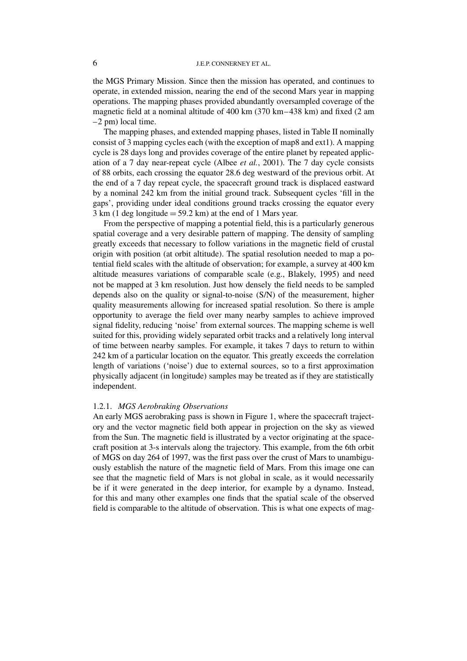the MGS Primary Mission. Since then the mission has operated, and continues to operate, in extended mission, nearing the end of the second Mars year in mapping operations. The mapping phases provided abundantly oversampled coverage of the magnetic field at a nominal altitude of 400 km (370 km–438 km) and fixed (2 am –2 pm) local time.

The mapping phases, and extended mapping phases, listed in Table II nominally consist of 3 mapping cycles each (with the exception of map8 and ext1). A mapping cycle is 28 days long and provides coverage of the entire planet by repeated application of a 7 day near-repeat cycle (Albee *et al.*, 2001). The 7 day cycle consists of 88 orbits, each crossing the equator 28.6 deg westward of the previous orbit. At the end of a 7 day repeat cycle, the spacecraft ground track is displaced eastward by a nominal 242 km from the initial ground track. Subsequent cycles 'fill in the gaps', providing under ideal conditions ground tracks crossing the equator every  $3 \text{ km } (1 \text{ deg longitude} = 59.2 \text{ km})$  at the end of 1 Mars year.

From the perspective of mapping a potential field, this is a particularly generous spatial coverage and a very desirable pattern of mapping. The density of sampling greatly exceeds that necessary to follow variations in the magnetic field of crustal origin with position (at orbit altitude). The spatial resolution needed to map a potential field scales with the altitude of observation; for example, a survey at 400 km altitude measures variations of comparable scale (e.g., Blakely, 1995) and need not be mapped at 3 km resolution. Just how densely the field needs to be sampled depends also on the quality or signal-to-noise (S/N) of the measurement, higher quality measurements allowing for increased spatial resolution. So there is ample opportunity to average the field over many nearby samples to achieve improved signal fidelity, reducing 'noise' from external sources. The mapping scheme is well suited for this, providing widely separated orbit tracks and a relatively long interval of time between nearby samples. For example, it takes 7 days to return to within 242 km of a particular location on the equator. This greatly exceeds the correlation length of variations ('noise') due to external sources, so to a first approximation physically adjacent (in longitude) samples may be treated as if they are statistically independent.

#### 1.2.1. *MGS Aerobraking Observations*

An early MGS aerobraking pass is shown in Figure 1, where the spacecraft trajectory and the vector magnetic field both appear in projection on the sky as viewed from the Sun. The magnetic field is illustrated by a vector originating at the spacecraft position at 3-s intervals along the trajectory. This example, from the 6th orbit of MGS on day 264 of 1997, was the first pass over the crust of Mars to unambiguously establish the nature of the magnetic field of Mars. From this image one can see that the magnetic field of Mars is not global in scale, as it would necessarily be if it were generated in the deep interior, for example by a dynamo. Instead, for this and many other examples one finds that the spatial scale of the observed field is comparable to the altitude of observation. This is what one expects of mag-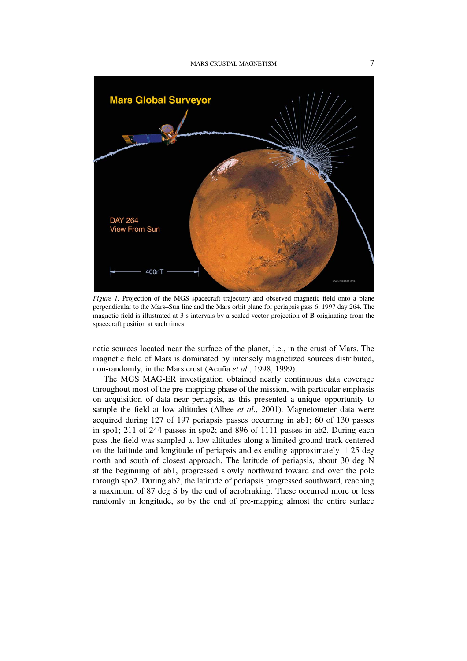

*Figure 1.* Projection of the MGS spacecraft trajectory and observed magnetic field onto a plane perpendicular to the Mars–Sun line and the Mars orbit plane for periapsis pass 6, 1997 day 264. The magnetic field is illustrated at 3 s intervals by a scaled vector projection of **B** originating from the spacecraft position at such times.

netic sources located near the surface of the planet, i.e., in the crust of Mars. The magnetic field of Mars is dominated by intensely magnetized sources distributed, non-randomly, in the Mars crust (Acuña *et al.*, 1998, 1999).

The MGS MAG-ER investigation obtained nearly continuous data coverage throughout most of the pre-mapping phase of the mission, with particular emphasis on acquisition of data near periapsis, as this presented a unique opportunity to sample the field at low altitudes (Albee *et al.*, 2001). Magnetometer data were acquired during 127 of 197 periapsis passes occurring in ab1; 60 of 130 passes in spo1; 211 of 244 passes in spo2; and 896 of 1111 passes in ab2. During each pass the field was sampled at low altitudes along a limited ground track centered on the latitude and longitude of periapsis and extending approximately  $\pm 25$  deg north and south of closest approach. The latitude of periapsis, about 30 deg N at the beginning of ab1, progressed slowly northward toward and over the pole through spo2. During ab2, the latitude of periapsis progressed southward, reaching a maximum of 87 deg S by the end of aerobraking. These occurred more or less randomly in longitude, so by the end of pre-mapping almost the entire surface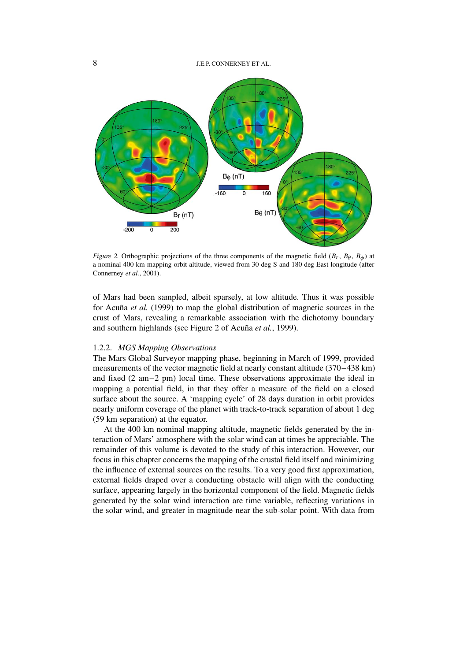8 J.E.P. CONNERNEY ET AL.



*Figure 2.* Orthographic projections of the three components of the magnetic field ( $B_r$ ,  $B_\theta$ ,  $B_\phi$ ) at a nominal 400 km mapping orbit altitude, viewed from 30 deg S and 180 deg East longitude (after Connerney *et al.*, 2001).

of Mars had been sampled, albeit sparsely, at low altitude. Thus it was possible for Acuña *et al.* (1999) to map the global distribution of magnetic sources in the crust of Mars, revealing a remarkable association with the dichotomy boundary and southern highlands (see Figure 2 of Acuña *et al.*, 1999).

# 1.2.2. *MGS Mapping Observations*

The Mars Global Surveyor mapping phase, beginning in March of 1999, provided measurements of the vector magnetic field at nearly constant altitude (370–438 km) and fixed (2 am–2 pm) local time. These observations approximate the ideal in mapping a potential field, in that they offer a measure of the field on a closed surface about the source. A 'mapping cycle' of 28 days duration in orbit provides nearly uniform coverage of the planet with track-to-track separation of about 1 deg (59 km separation) at the equator.

At the 400 km nominal mapping altitude, magnetic fields generated by the interaction of Mars' atmosphere with the solar wind can at times be appreciable. The remainder of this volume is devoted to the study of this interaction. However, our focus in this chapter concerns the mapping of the crustal field itself and minimizing the influence of external sources on the results. To a very good first approximation, external fields draped over a conducting obstacle will align with the conducting surface, appearing largely in the horizontal component of the field. Magnetic fields generated by the solar wind interaction are time variable, reflecting variations in the solar wind, and greater in magnitude near the sub-solar point. With data from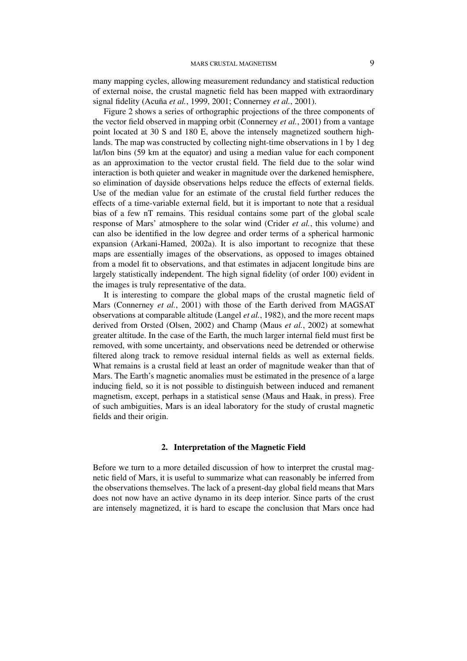many mapping cycles, allowing measurement redundancy and statistical reduction of external noise, the crustal magnetic field has been mapped with extraordinary signal fidelity (Acuña *et al.*, 1999, 2001; Connerney *et al.*, 2001).

Figure 2 shows a series of orthographic projections of the three components of the vector field observed in mapping orbit (Connerney *et al.*, 2001) from a vantage point located at 30 S and 180 E, above the intensely magnetized southern highlands. The map was constructed by collecting night-time observations in 1 by 1 deg lat/lon bins (59 km at the equator) and using a median value for each component as an approximation to the vector crustal field. The field due to the solar wind interaction is both quieter and weaker in magnitude over the darkened hemisphere, so elimination of dayside observations helps reduce the effects of external fields. Use of the median value for an estimate of the crustal field further reduces the effects of a time-variable external field, but it is important to note that a residual bias of a few nT remains. This residual contains some part of the global scale response of Mars' atmosphere to the solar wind (Crider *et al.*, this volume) and can also be identified in the low degree and order terms of a spherical harmonic expansion (Arkani-Hamed, 2002a). It is also important to recognize that these maps are essentially images of the observations, as opposed to images obtained from a model fit to observations, and that estimates in adjacent longitude bins are largely statistically independent. The high signal fidelity (of order 100) evident in the images is truly representative of the data.

It is interesting to compare the global maps of the crustal magnetic field of Mars (Connerney *et al.*, 2001) with those of the Earth derived from MAGSAT observations at comparable altitude (Langel *et al.*, 1982), and the more recent maps derived from Orsted (Olsen, 2002) and Champ (Maus *et al.*, 2002) at somewhat greater altitude. In the case of the Earth, the much larger internal field must first be removed, with some uncertainty, and observations need be detrended or otherwise filtered along track to remove residual internal fields as well as external fields. What remains is a crustal field at least an order of magnitude weaker than that of Mars. The Earth's magnetic anomalies must be estimated in the presence of a large inducing field, so it is not possible to distinguish between induced and remanent magnetism, except, perhaps in a statistical sense (Maus and Haak, in press). Free of such ambiguities, Mars is an ideal laboratory for the study of crustal magnetic fields and their origin.

### **2. Interpretation of the Magnetic Field**

Before we turn to a more detailed discussion of how to interpret the crustal magnetic field of Mars, it is useful to summarize what can reasonably be inferred from the observations themselves. The lack of a present-day global field means that Mars does not now have an active dynamo in its deep interior. Since parts of the crust are intensely magnetized, it is hard to escape the conclusion that Mars once had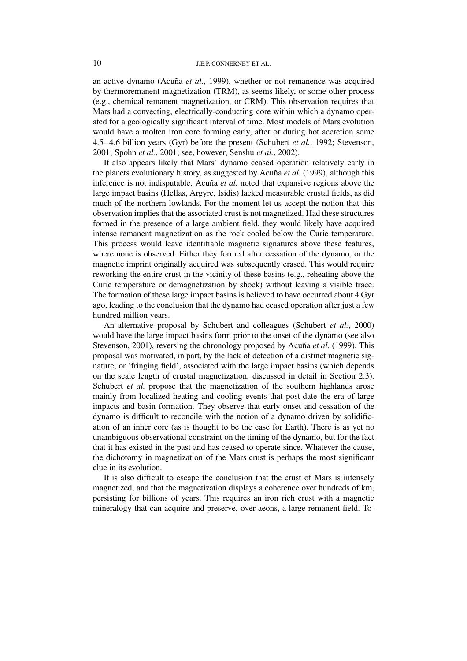an active dynamo (Acuña *et al.*, 1999), whether or not remanence was acquired by thermoremanent magnetization (TRM), as seems likely, or some other process (e.g., chemical remanent magnetization, or CRM). This observation requires that Mars had a convecting, electrically-conducting core within which a dynamo operated for a geologically significant interval of time. Most models of Mars evolution would have a molten iron core forming early, after or during hot accretion some 4.5–4.6 billion years (Gyr) before the present (Schubert *et al.*, 1992; Stevenson, 2001; Spohn *et al.*, 2001; see, however, Senshu *et al.*, 2002).

It also appears likely that Mars' dynamo ceased operation relatively early in the planets evolutionary history, as suggested by Acuña *et al.* (1999), although this inference is not indisputable. Acuña *et al.* noted that expansive regions above the large impact basins (Hellas, Argyre, Isidis) lacked measurable crustal fields, as did much of the northern lowlands. For the moment let us accept the notion that this observation implies that the associated crust is not magnetized. Had these structures formed in the presence of a large ambient field, they would likely have acquired intense remanent magnetization as the rock cooled below the Curie temperature. This process would leave identifiable magnetic signatures above these features, where none is observed. Either they formed after cessation of the dynamo, or the magnetic imprint originally acquired was subsequently erased. This would require reworking the entire crust in the vicinity of these basins (e.g., reheating above the Curie temperature or demagnetization by shock) without leaving a visible trace. The formation of these large impact basins is believed to have occurred about 4 Gyr ago, leading to the conclusion that the dynamo had ceased operation after just a few hundred million years.

An alternative proposal by Schubert and colleagues (Schubert *et al.*, 2000) would have the large impact basins form prior to the onset of the dynamo (see also Stevenson, 2001), reversing the chronology proposed by Acuña *et al.* (1999). This proposal was motivated, in part, by the lack of detection of a distinct magnetic signature, or 'fringing field', associated with the large impact basins (which depends on the scale length of crustal magnetization, discussed in detail in Section 2.3). Schubert *et al.* propose that the magnetization of the southern highlands arose mainly from localized heating and cooling events that post-date the era of large impacts and basin formation. They observe that early onset and cessation of the dynamo is difficult to reconcile with the notion of a dynamo driven by solidification of an inner core (as is thought to be the case for Earth). There is as yet no unambiguous observational constraint on the timing of the dynamo, but for the fact that it has existed in the past and has ceased to operate since. Whatever the cause, the dichotomy in magnetization of the Mars crust is perhaps the most significant clue in its evolution.

It is also difficult to escape the conclusion that the crust of Mars is intensely magnetized, and that the magnetization displays a coherence over hundreds of km, persisting for billions of years. This requires an iron rich crust with a magnetic mineralogy that can acquire and preserve, over aeons, a large remanent field. To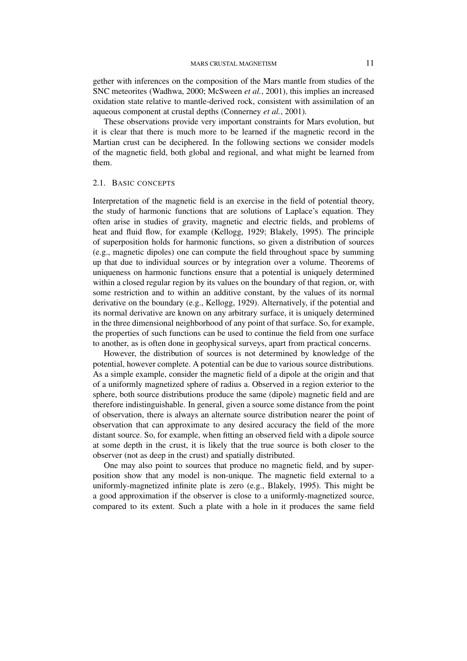gether with inferences on the composition of the Mars mantle from studies of the SNC meteorites (Wadhwa, 2000; McSween *et al.*, 2001), this implies an increased oxidation state relative to mantle-derived rock, consistent with assimilation of an aqueous component at crustal depths (Connerney *et al.*, 2001).

These observations provide very important constraints for Mars evolution, but it is clear that there is much more to be learned if the magnetic record in the Martian crust can be deciphered. In the following sections we consider models of the magnetic field, both global and regional, and what might be learned from them.

### 2.1. BASIC CONCEPTS

Interpretation of the magnetic field is an exercise in the field of potential theory, the study of harmonic functions that are solutions of Laplace's equation. They often arise in studies of gravity, magnetic and electric fields, and problems of heat and fluid flow, for example (Kellogg, 1929; Blakely, 1995). The principle of superposition holds for harmonic functions, so given a distribution of sources (e.g., magnetic dipoles) one can compute the field throughout space by summing up that due to individual sources or by integration over a volume. Theorems of uniqueness on harmonic functions ensure that a potential is uniquely determined within a closed regular region by its values on the boundary of that region, or, with some restriction and to within an additive constant, by the values of its normal derivative on the boundary (e.g., Kellogg, 1929). Alternatively, if the potential and its normal derivative are known on any arbitrary surface, it is uniquely determined in the three dimensional neighborhood of any point of that surface. So, for example, the properties of such functions can be used to continue the field from one surface to another, as is often done in geophysical surveys, apart from practical concerns.

However, the distribution of sources is not determined by knowledge of the potential, however complete. A potential can be due to various source distributions. As a simple example, consider the magnetic field of a dipole at the origin and that of a uniformly magnetized sphere of radius a. Observed in a region exterior to the sphere, both source distributions produce the same (dipole) magnetic field and are therefore indistinguishable. In general, given a source some distance from the point of observation, there is always an alternate source distribution nearer the point of observation that can approximate to any desired accuracy the field of the more distant source. So, for example, when fitting an observed field with a dipole source at some depth in the crust, it is likely that the true source is both closer to the observer (not as deep in the crust) and spatially distributed.

One may also point to sources that produce no magnetic field, and by superposition show that any model is non-unique. The magnetic field external to a uniformly-magnetized infinite plate is zero (e.g., Blakely, 1995). This might be a good approximation if the observer is close to a uniformly-magnetized source, compared to its extent. Such a plate with a hole in it produces the same field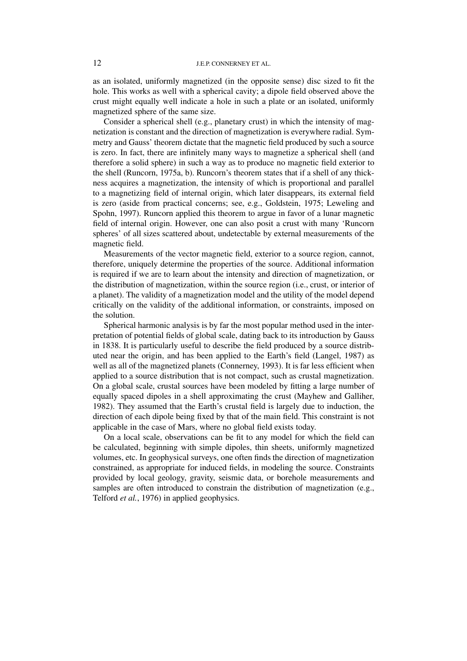as an isolated, uniformly magnetized (in the opposite sense) disc sized to fit the hole. This works as well with a spherical cavity; a dipole field observed above the crust might equally well indicate a hole in such a plate or an isolated, uniformly magnetized sphere of the same size.

Consider a spherical shell (e.g., planetary crust) in which the intensity of magnetization is constant and the direction of magnetization is everywhere radial. Symmetry and Gauss' theorem dictate that the magnetic field produced by such a source is zero. In fact, there are infinitely many ways to magnetize a spherical shell (and therefore a solid sphere) in such a way as to produce no magnetic field exterior to the shell (Runcorn, 1975a, b). Runcorn's theorem states that if a shell of any thickness acquires a magnetization, the intensity of which is proportional and parallel to a magnetizing field of internal origin, which later disappears, its external field is zero (aside from practical concerns; see, e.g., Goldstein, 1975; Leweling and Spohn, 1997). Runcorn applied this theorem to argue in favor of a lunar magnetic field of internal origin. However, one can also posit a crust with many 'Runcorn spheres' of all sizes scattered about, undetectable by external measurements of the magnetic field.

Measurements of the vector magnetic field, exterior to a source region, cannot, therefore, uniquely determine the properties of the source. Additional information is required if we are to learn about the intensity and direction of magnetization, or the distribution of magnetization, within the source region (i.e., crust, or interior of a planet). The validity of a magnetization model and the utility of the model depend critically on the validity of the additional information, or constraints, imposed on the solution.

Spherical harmonic analysis is by far the most popular method used in the interpretation of potential fields of global scale, dating back to its introduction by Gauss in 1838. It is particularly useful to describe the field produced by a source distributed near the origin, and has been applied to the Earth's field (Langel, 1987) as well as all of the magnetized planets (Connerney, 1993). It is far less efficient when applied to a source distribution that is not compact, such as crustal magnetization. On a global scale, crustal sources have been modeled by fitting a large number of equally spaced dipoles in a shell approximating the crust (Mayhew and Galliher, 1982). They assumed that the Earth's crustal field is largely due to induction, the direction of each dipole being fixed by that of the main field. This constraint is not applicable in the case of Mars, where no global field exists today.

On a local scale, observations can be fit to any model for which the field can be calculated, beginning with simple dipoles, thin sheets, uniformly magnetized volumes, etc. In geophysical surveys, one often finds the direction of magnetization constrained, as appropriate for induced fields, in modeling the source. Constraints provided by local geology, gravity, seismic data, or borehole measurements and samples are often introduced to constrain the distribution of magnetization (e.g., Telford *et al.*, 1976) in applied geophysics.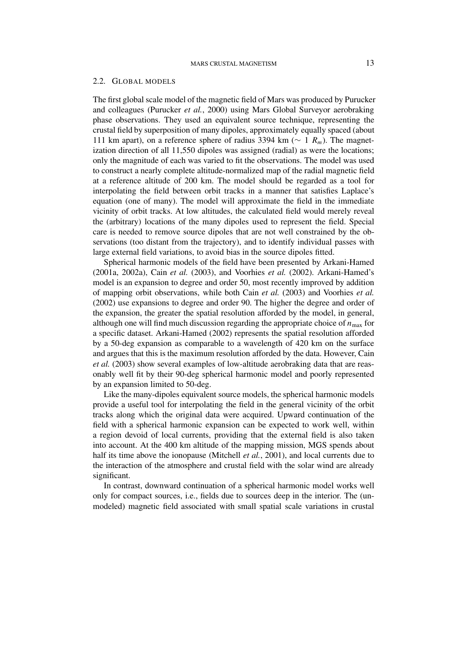### 2.2. GLOBAL MODELS

The first global scale model of the magnetic field of Mars was produced by Purucker and colleagues (Purucker *et al.*, 2000) using Mars Global Surveyor aerobraking phase observations. They used an equivalent source technique, representing the crustal field by superposition of many dipoles, approximately equally spaced (about 111 km apart), on a reference sphere of radius 3394 km (∼ 1 *Rm*). The magnetization direction of all 11,550 dipoles was assigned (radial) as were the locations; only the magnitude of each was varied to fit the observations. The model was used to construct a nearly complete altitude-normalized map of the radial magnetic field at a reference altitude of 200 km. The model should be regarded as a tool for interpolating the field between orbit tracks in a manner that satisfies Laplace's equation (one of many). The model will approximate the field in the immediate vicinity of orbit tracks. At low altitudes, the calculated field would merely reveal the (arbitrary) locations of the many dipoles used to represent the field. Special care is needed to remove source dipoles that are not well constrained by the observations (too distant from the trajectory), and to identify individual passes with large external field variations, to avoid bias in the source dipoles fitted.

Spherical harmonic models of the field have been presented by Arkani-Hamed (2001a, 2002a), Cain *et al.* (2003), and Voorhies *et al.* (2002). Arkani-Hamed's model is an expansion to degree and order 50, most recently improved by addition of mapping orbit observations, while both Cain *et al.* (2003) and Voorhies *et al.* (2002) use expansions to degree and order 90. The higher the degree and order of the expansion, the greater the spatial resolution afforded by the model, in general, although one will find much discussion regarding the appropriate choice of  $n_{\text{max}}$  for a specific dataset. Arkani-Hamed (2002) represents the spatial resolution afforded by a 50-deg expansion as comparable to a wavelength of 420 km on the surface and argues that this is the maximum resolution afforded by the data. However, Cain *et al.* (2003) show several examples of low-altitude aerobraking data that are reasonably well fit by their 90-deg spherical harmonic model and poorly represented by an expansion limited to 50-deg.

Like the many-dipoles equivalent source models, the spherical harmonic models provide a useful tool for interpolating the field in the general vicinity of the orbit tracks along which the original data were acquired. Upward continuation of the field with a spherical harmonic expansion can be expected to work well, within a region devoid of local currents, providing that the external field is also taken into account. At the 400 km altitude of the mapping mission, MGS spends about half its time above the ionopause (Mitchell *et al.*, 2001), and local currents due to the interaction of the atmosphere and crustal field with the solar wind are already significant.

In contrast, downward continuation of a spherical harmonic model works well only for compact sources, i.e., fields due to sources deep in the interior. The (unmodeled) magnetic field associated with small spatial scale variations in crustal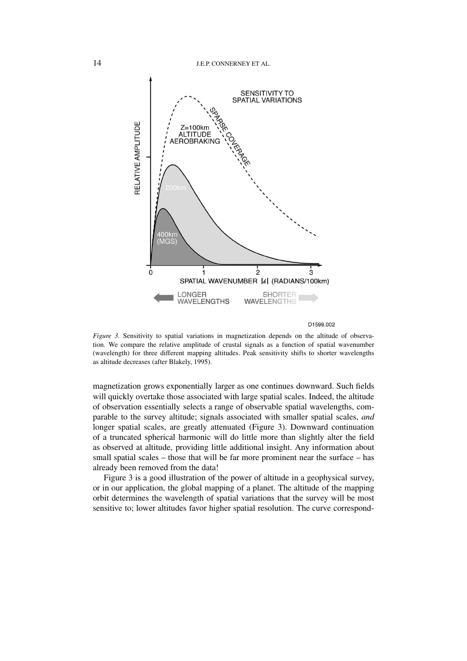

D1599.002

*Figure 3.* Sensitivity to spatial variations in magnetization depends on the altitude of observation. We compare the relative amplitude of crustal signals as a function of spatial wavenumber (wavelength) for three different mapping altitudes. Peak sensitivity shifts to shorter wavelengths as altitude decreases (after Blakely, 1995).

magnetization grows exponentially larger as one continues downward. Such fields will quickly overtake those associated with large spatial scales. Indeed, the altitude of observation essentially selects a range of observable spatial wavelengths, comparable to the survey altitude; signals associated with smaller spatial scales, *and* longer spatial scales, are greatly attenuated (Figure 3). Downward continuation of a truncated spherical harmonic will do little more than slightly alter the field as observed at altitude, providing little additional insight. Any information about small spatial scales – those that will be far more prominent near the surface – has already been removed from the data!

Figure 3 is a good illustration of the power of altitude in a geophysical survey, or in our application, the global mapping of a planet. The altitude of the mapping orbit determines the wavelength of spatial variations that the survey will be most sensitive to; lower altitudes favor higher spatial resolution. The curve correspond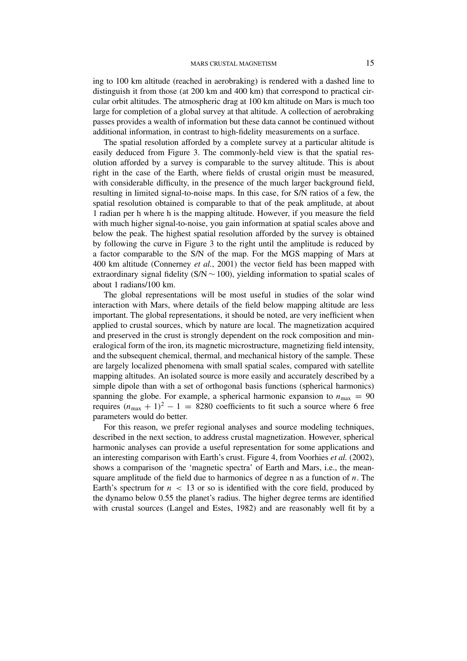ing to 100 km altitude (reached in aerobraking) is rendered with a dashed line to distinguish it from those (at 200 km and 400 km) that correspond to practical circular orbit altitudes. The atmospheric drag at 100 km altitude on Mars is much too large for completion of a global survey at that altitude. A collection of aerobraking passes provides a wealth of information but these data cannot be continued without additional information, in contrast to high-fidelity measurements on a surface.

The spatial resolution afforded by a complete survey at a particular altitude is easily deduced from Figure 3. The commonly-held view is that the spatial resolution afforded by a survey is comparable to the survey altitude. This is about right in the case of the Earth, where fields of crustal origin must be measured, with considerable difficulty, in the presence of the much larger background field, resulting in limited signal-to-noise maps. In this case, for S/N ratios of a few, the spatial resolution obtained is comparable to that of the peak amplitude, at about 1 radian per h where h is the mapping altitude. However, if you measure the field with much higher signal-to-noise, you gain information at spatial scales above and below the peak. The highest spatial resolution afforded by the survey is obtained by following the curve in Figure 3 to the right until the amplitude is reduced by a factor comparable to the S/N of the map. For the MGS mapping of Mars at 400 km altitude (Connerney *et al.*, 2001) the vector field has been mapped with extraordinary signal fidelity (S/N ∼ 100), yielding information to spatial scales of about 1 radians/100 km.

The global representations will be most useful in studies of the solar wind interaction with Mars, where details of the field below mapping altitude are less important. The global representations, it should be noted, are very inefficient when applied to crustal sources, which by nature are local. The magnetization acquired and preserved in the crust is strongly dependent on the rock composition and mineralogical form of the iron, its magnetic microstructure, magnetizing field intensity, and the subsequent chemical, thermal, and mechanical history of the sample. These are largely localized phenomena with small spatial scales, compared with satellite mapping altitudes. An isolated source is more easily and accurately described by a simple dipole than with a set of orthogonal basis functions (spherical harmonics) spanning the globe. For example, a spherical harmonic expansion to  $n_{\text{max}} = 90$ requires  $(n_{\text{max}} + 1)^2 - 1 = 8280$  coefficients to fit such a source where 6 free parameters would do better.

For this reason, we prefer regional analyses and source modeling techniques, described in the next section, to address crustal magnetization. However, spherical harmonic analyses can provide a useful representation for some applications and an interesting comparison with Earth's crust. Figure 4, from Voorhies *et al.* (2002), shows a comparison of the 'magnetic spectra' of Earth and Mars, i.e., the meansquare amplitude of the field due to harmonics of degree n as a function of  $n$ . The Earth's spectrum for  $n < 13$  or so is identified with the core field, produced by the dynamo below 0.55 the planet's radius. The higher degree terms are identified with crustal sources (Langel and Estes, 1982) and are reasonably well fit by a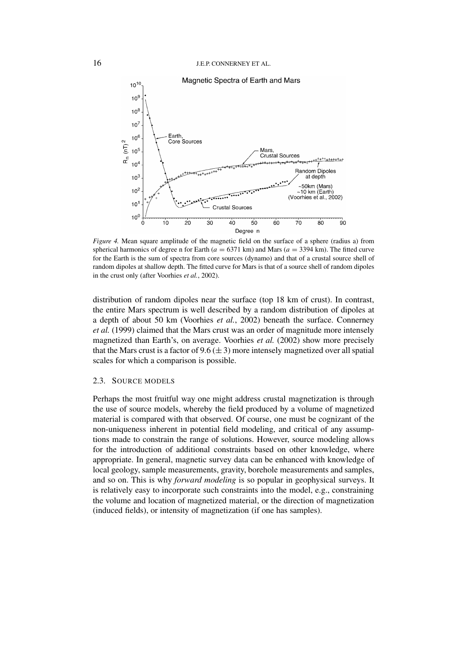

*Figure 4.* Mean square amplitude of the magnetic field on the surface of a sphere (radius a) from spherical harmonics of degree n for Earth ( $a = 6371$  km) and Mars ( $a = 3394$  km). The fitted curve for the Earth is the sum of spectra from core sources (dynamo) and that of a crustal source shell of random dipoles at shallow depth. The fitted curve for Mars is that of a source shell of random dipoles in the crust only (after Voorhies *et al.*, 2002).

distribution of random dipoles near the surface (top 18 km of crust). In contrast, the entire Mars spectrum is well described by a random distribution of dipoles at a depth of about 50 km (Voorhies *et al.*, 2002) beneath the surface. Connerney *et al.* (1999) claimed that the Mars crust was an order of magnitude more intensely magnetized than Earth's, on average. Voorhies *et al.* (2002) show more precisely that the Mars crust is a factor of  $9.6 (\pm 3)$  more intensely magnetized over all spatial scales for which a comparison is possible.

#### 2.3. SOURCE MODELS

Perhaps the most fruitful way one might address crustal magnetization is through the use of source models, whereby the field produced by a volume of magnetized material is compared with that observed. Of course, one must be cognizant of the non-uniqueness inherent in potential field modeling, and critical of any assumptions made to constrain the range of solutions. However, source modeling allows for the introduction of additional constraints based on other knowledge, where appropriate. In general, magnetic survey data can be enhanced with knowledge of local geology, sample measurements, gravity, borehole measurements and samples, and so on. This is why *forward modeling* is so popular in geophysical surveys. It is relatively easy to incorporate such constraints into the model, e.g., constraining the volume and location of magnetized material, or the direction of magnetization (induced fields), or intensity of magnetization (if one has samples).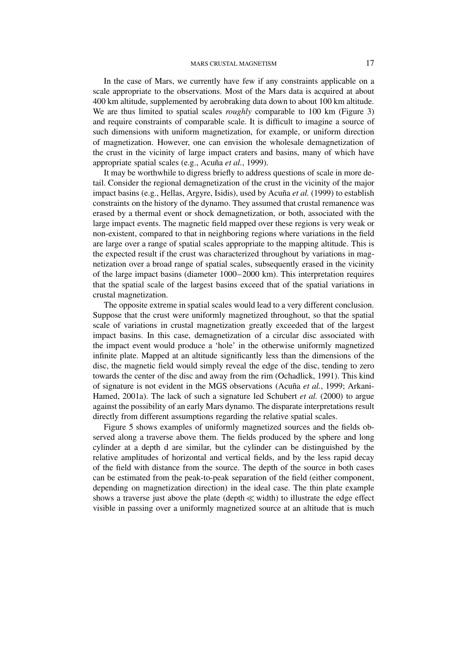In the case of Mars, we currently have few if any constraints applicable on a scale appropriate to the observations. Most of the Mars data is acquired at about 400 km altitude, supplemented by aerobraking data down to about 100 km altitude. We are thus limited to spatial scales *roughly* comparable to 100 km (Figure 3) and require constraints of comparable scale. It is difficult to imagine a source of such dimensions with uniform magnetization, for example, or uniform direction of magnetization. However, one can envision the wholesale demagnetization of the crust in the vicinity of large impact craters and basins, many of which have appropriate spatial scales (e.g., Acuña *et al.*, 1999).

It may be worthwhile to digress briefly to address questions of scale in more detail. Consider the regional demagnetization of the crust in the vicinity of the major impact basins (e.g., Hellas, Argyre, Isidis), used by Acuña *et al.* (1999) to establish constraints on the history of the dynamo. They assumed that crustal remanence was erased by a thermal event or shock demagnetization, or both, associated with the large impact events. The magnetic field mapped over these regions is very weak or non-existent, compared to that in neighboring regions where variations in the field are large over a range of spatial scales appropriate to the mapping altitude. This is the expected result if the crust was characterized throughout by variations in magnetization over a broad range of spatial scales, subsequently erased in the vicinity of the large impact basins (diameter 1000–2000 km). This interpretation requires that the spatial scale of the largest basins exceed that of the spatial variations in crustal magnetization.

The opposite extreme in spatial scales would lead to a very different conclusion. Suppose that the crust were uniformly magnetized throughout, so that the spatial scale of variations in crustal magnetization greatly exceeded that of the largest impact basins. In this case, demagnetization of a circular disc associated with the impact event would produce a 'hole' in the otherwise uniformly magnetized infinite plate. Mapped at an altitude significantly less than the dimensions of the disc, the magnetic field would simply reveal the edge of the disc, tending to zero towards the center of the disc and away from the rim (Ochadlick, 1991). This kind of signature is not evident in the MGS observations (Acuña *et al.*, 1999; Arkani-Hamed, 2001a). The lack of such a signature led Schubert *et al.* (2000) to argue against the possibility of an early Mars dynamo. The disparate interpretations result directly from different assumptions regarding the relative spatial scales.

Figure 5 shows examples of uniformly magnetized sources and the fields observed along a traverse above them. The fields produced by the sphere and long cylinder at a depth d are similar, but the cylinder can be distinguished by the relative amplitudes of horizontal and vertical fields, and by the less rapid decay of the field with distance from the source. The depth of the source in both cases can be estimated from the peak-to-peak separation of the field (either component, depending on magnetization direction) in the ideal case. The thin plate example shows a traverse just above the plate (depth  $\ll$  width) to illustrate the edge effect visible in passing over a uniformly magnetized source at an altitude that is much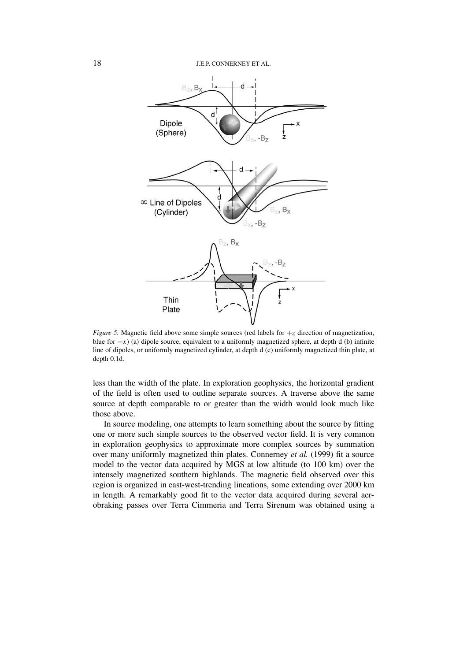

*Figure 5.* Magnetic field above some simple sources (red labels for  $+z$  direction of magnetization, blue for  $+x$ ) (a) dipole source, equivalent to a uniformly magnetized sphere, at depth d (b) infinite line of dipoles, or uniformly magnetized cylinder, at depth d (c) uniformly magnetized thin plate, at depth 0.1d.

less than the width of the plate. In exploration geophysics, the horizontal gradient of the field is often used to outline separate sources. A traverse above the same source at depth comparable to or greater than the width would look much like those above.

In source modeling, one attempts to learn something about the source by fitting one or more such simple sources to the observed vector field. It is very common in exploration geophysics to approximate more complex sources by summation over many uniformly magnetized thin plates. Connerney *et al.* (1999) fit a source model to the vector data acquired by MGS at low altitude (to 100 km) over the intensely magnetized southern highlands. The magnetic field observed over this region is organized in east-west-trending lineations, some extending over 2000 km in length. A remarkably good fit to the vector data acquired during several aerobraking passes over Terra Cimmeria and Terra Sirenum was obtained using a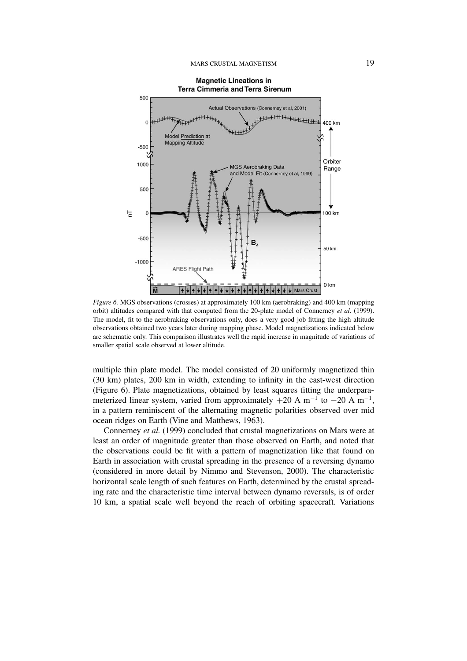

*Figure 6.* MGS observations (crosses) at approximately 100 km (aerobraking) and 400 km (mapping orbit) altitudes compared with that computed from the 20-plate model of Connerney *et al.* (1999). The model, fit to the aerobraking observations only, does a very good job fitting the high altitude observations obtained two years later during mapping phase. Model magnetizations indicated below are schematic only. This comparison illustrates well the rapid increase in magnitude of variations of smaller spatial scale observed at lower altitude.

multiple thin plate model. The model consisted of 20 uniformly magnetized thin (30 km) plates, 200 km in width, extending to infinity in the east-west direction (Figure 6). Plate magnetizations, obtained by least squares fitting the underparameterized linear system, varied from approximately  $+20$  A m<sup>-1</sup> to  $-20$  A m<sup>-1</sup>, in a pattern reminiscent of the alternating magnetic polarities observed over mid ocean ridges on Earth (Vine and Matthews, 1963).

Connerney *et al.* (1999) concluded that crustal magnetizations on Mars were at least an order of magnitude greater than those observed on Earth, and noted that the observations could be fit with a pattern of magnetization like that found on Earth in association with crustal spreading in the presence of a reversing dynamo (considered in more detail by Nimmo and Stevenson, 2000). The characteristic horizontal scale length of such features on Earth, determined by the crustal spreading rate and the characteristic time interval between dynamo reversals, is of order 10 km, a spatial scale well beyond the reach of orbiting spacecraft. Variations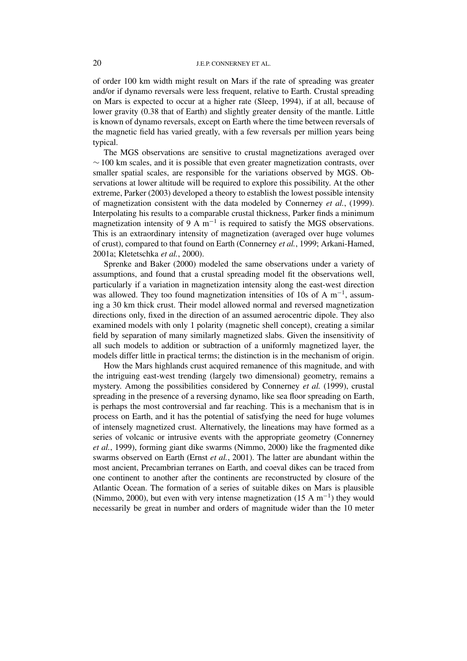of order 100 km width might result on Mars if the rate of spreading was greater and/or if dynamo reversals were less frequent, relative to Earth. Crustal spreading on Mars is expected to occur at a higher rate (Sleep, 1994), if at all, because of lower gravity (0.38 that of Earth) and slightly greater density of the mantle. Little is known of dynamo reversals, except on Earth where the time between reversals of the magnetic field has varied greatly, with a few reversals per million years being typical.

The MGS observations are sensitive to crustal magnetizations averaged over  $\sim$  100 km scales, and it is possible that even greater magnetization contrasts, over smaller spatial scales, are responsible for the variations observed by MGS. Observations at lower altitude will be required to explore this possibility. At the other extreme, Parker (2003) developed a theory to establish the lowest possible intensity of magnetization consistent with the data modeled by Connerney *et al.*, (1999). Interpolating his results to a comparable crustal thickness, Parker finds a minimum magnetization intensity of 9 A m<sup>-1</sup> is required to satisfy the MGS observations. This is an extraordinary intensity of magnetization (averaged over huge volumes of crust), compared to that found on Earth (Connerney *et al.*, 1999; Arkani-Hamed, 2001a; Kletetschka *et al.*, 2000).

Sprenke and Baker (2000) modeled the same observations under a variety of assumptions, and found that a crustal spreading model fit the observations well, particularly if a variation in magnetization intensity along the east-west direction was allowed. They too found magnetization intensities of 10s of A  $m^{-1}$ , assuming a 30 km thick crust. Their model allowed normal and reversed magnetization directions only, fixed in the direction of an assumed aerocentric dipole. They also examined models with only 1 polarity (magnetic shell concept), creating a similar field by separation of many similarly magnetized slabs. Given the insensitivity of all such models to addition or subtraction of a uniformly magnetized layer, the models differ little in practical terms; the distinction is in the mechanism of origin.

How the Mars highlands crust acquired remanence of this magnitude, and with the intriguing east-west trending (largely two dimensional) geometry, remains a mystery. Among the possibilities considered by Connerney *et al.* (1999), crustal spreading in the presence of a reversing dynamo, like sea floor spreading on Earth, is perhaps the most controversial and far reaching. This is a mechanism that is in process on Earth, and it has the potential of satisfying the need for huge volumes of intensely magnetized crust. Alternatively, the lineations may have formed as a series of volcanic or intrusive events with the appropriate geometry (Connerney *et al.*, 1999), forming giant dike swarms (Nimmo, 2000) like the fragmented dike swarms observed on Earth (Ernst *et al.*, 2001). The latter are abundant within the most ancient, Precambrian terranes on Earth, and coeval dikes can be traced from one continent to another after the continents are reconstructed by closure of the Atlantic Ocean. The formation of a series of suitable dikes on Mars is plausible (Nimmo, 2000), but even with very intense magnetization (15 A  $m^{-1}$ ) they would necessarily be great in number and orders of magnitude wider than the 10 meter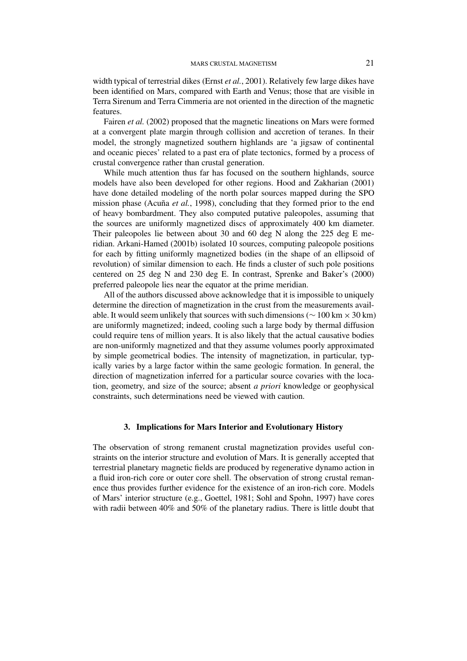width typical of terrestrial dikes (Ernst *et al.*, 2001). Relatively few large dikes have been identified on Mars, compared with Earth and Venus; those that are visible in Terra Sirenum and Terra Cimmeria are not oriented in the direction of the magnetic features.

Fairen *et al.* (2002) proposed that the magnetic lineations on Mars were formed at a convergent plate margin through collision and accretion of teranes. In their model, the strongly magnetized southern highlands are 'a jigsaw of continental and oceanic pieces' related to a past era of plate tectonics, formed by a process of crustal convergence rather than crustal generation.

While much attention thus far has focused on the southern highlands, source models have also been developed for other regions. Hood and Zakharian (2001) have done detailed modeling of the north polar sources mapped during the SPO mission phase (Acuña *et al.*, 1998), concluding that they formed prior to the end of heavy bombardment. They also computed putative paleopoles, assuming that the sources are uniformly magnetized discs of approximately 400 km diameter. Their paleopoles lie between about 30 and 60 deg N along the 225 deg E meridian. Arkani-Hamed (2001b) isolated 10 sources, computing paleopole positions for each by fitting uniformly magnetized bodies (in the shape of an ellipsoid of revolution) of similar dimension to each. He finds a cluster of such pole positions centered on 25 deg N and 230 deg E. In contrast, Sprenke and Baker's (2000) preferred paleopole lies near the equator at the prime meridian.

All of the authors discussed above acknowledge that it is impossible to uniquely determine the direction of magnetization in the crust from the measurements available. It would seem unlikely that sources with such dimensions ( $\sim 100 \text{ km} \times 30 \text{ km}$ ) are uniformly magnetized; indeed, cooling such a large body by thermal diffusion could require tens of million years. It is also likely that the actual causative bodies are non-uniformly magnetized and that they assume volumes poorly approximated by simple geometrical bodies. The intensity of magnetization, in particular, typically varies by a large factor within the same geologic formation. In general, the direction of magnetization inferred for a particular source covaries with the location, geometry, and size of the source; absent *a priori* knowledge or geophysical constraints, such determinations need be viewed with caution.

## **3. Implications for Mars Interior and Evolutionary History**

The observation of strong remanent crustal magnetization provides useful constraints on the interior structure and evolution of Mars. It is generally accepted that terrestrial planetary magnetic fields are produced by regenerative dynamo action in a fluid iron-rich core or outer core shell. The observation of strong crustal remanence thus provides further evidence for the existence of an iron-rich core. Models of Mars' interior structure (e.g., Goettel, 1981; Sohl and Spohn, 1997) have cores with radii between 40% and 50% of the planetary radius. There is little doubt that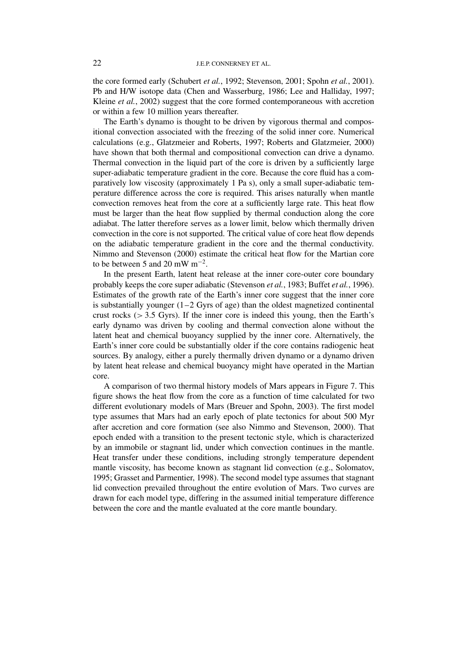the core formed early (Schubert *et al.*, 1992; Stevenson, 2001; Spohn *et al.*, 2001). Pb and H/W isotope data (Chen and Wasserburg, 1986; Lee and Halliday, 1997; Kleine *et al.*, 2002) suggest that the core formed contemporaneous with accretion or within a few 10 million years thereafter.

The Earth's dynamo is thought to be driven by vigorous thermal and compositional convection associated with the freezing of the solid inner core. Numerical calculations (e.g., Glatzmeier and Roberts, 1997; Roberts and Glatzmeier, 2000) have shown that both thermal and compositional convection can drive a dynamo. Thermal convection in the liquid part of the core is driven by a sufficiently large super-adiabatic temperature gradient in the core. Because the core fluid has a comparatively low viscosity (approximately 1 Pa s), only a small super-adiabatic temperature difference across the core is required. This arises naturally when mantle convection removes heat from the core at a sufficiently large rate. This heat flow must be larger than the heat flow supplied by thermal conduction along the core adiabat. The latter therefore serves as a lower limit, below which thermally driven convection in the core is not supported. The critical value of core heat flow depends on the adiabatic temperature gradient in the core and the thermal conductivity. Nimmo and Stevenson (2000) estimate the critical heat flow for the Martian core to be between 5 and 20 mW m−2.

In the present Earth, latent heat release at the inner core-outer core boundary probably keeps the core super adiabatic (Stevenson *et al.*, 1983; Buffet *et al.*, 1996). Estimates of the growth rate of the Earth's inner core suggest that the inner core is substantially younger  $(1-2 \text{ Gyrs of age})$  than the oldest magnetized continental crust rocks (*>* 3.5 Gyrs). If the inner core is indeed this young, then the Earth's early dynamo was driven by cooling and thermal convection alone without the latent heat and chemical buoyancy supplied by the inner core. Alternatively, the Earth's inner core could be substantially older if the core contains radiogenic heat sources. By analogy, either a purely thermally driven dynamo or a dynamo driven by latent heat release and chemical buoyancy might have operated in the Martian core.

A comparison of two thermal history models of Mars appears in Figure 7. This figure shows the heat flow from the core as a function of time calculated for two different evolutionary models of Mars (Breuer and Spohn, 2003). The first model type assumes that Mars had an early epoch of plate tectonics for about 500 Myr after accretion and core formation (see also Nimmo and Stevenson, 2000). That epoch ended with a transition to the present tectonic style, which is characterized by an immobile or stagnant lid, under which convection continues in the mantle. Heat transfer under these conditions, including strongly temperature dependent mantle viscosity, has become known as stagnant lid convection (e.g., Solomatov, 1995; Grasset and Parmentier, 1998). The second model type assumes that stagnant lid convection prevailed throughout the entire evolution of Mars. Two curves are drawn for each model type, differing in the assumed initial temperature difference between the core and the mantle evaluated at the core mantle boundary.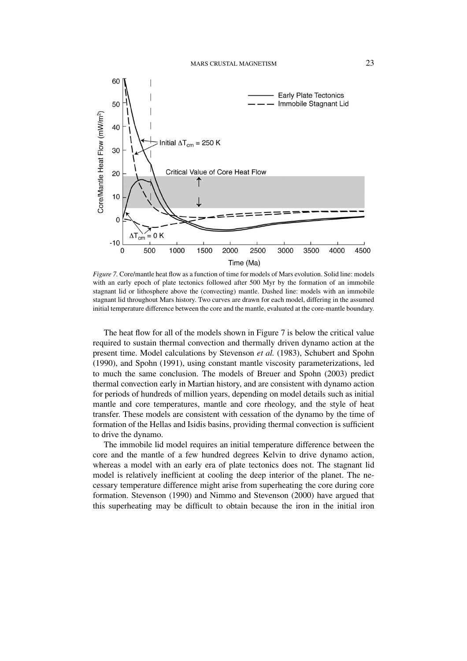

*Figure 7.* Core/mantle heat flow as a function of time for models of Mars evolution. Solid line: models with an early epoch of plate tectonics followed after 500 Myr by the formation of an immobile stagnant lid or lithosphere above the (convecting) mantle. Dashed line: models with an immobile stagnant lid throughout Mars history. Two curves are drawn for each model, differing in the assumed initial temperature difference between the core and the mantle, evaluated at the core-mantle boundary.

The heat flow for all of the models shown in Figure 7 is below the critical value required to sustain thermal convection and thermally driven dynamo action at the present time. Model calculations by Stevenson *et al.* (1983), Schubert and Spohn (1990), and Spohn (1991), using constant mantle viscosity parameterizations, led to much the same conclusion. The models of Breuer and Spohn (2003) predict thermal convection early in Martian history, and are consistent with dynamo action for periods of hundreds of million years, depending on model details such as initial mantle and core temperatures, mantle and core rheology, and the style of heat transfer. These models are consistent with cessation of the dynamo by the time of formation of the Hellas and Isidis basins, providing thermal convection is sufficient to drive the dynamo.

The immobile lid model requires an initial temperature difference between the core and the mantle of a few hundred degrees Kelvin to drive dynamo action, whereas a model with an early era of plate tectonics does not. The stagnant lid model is relatively inefficient at cooling the deep interior of the planet. The necessary temperature difference might arise from superheating the core during core formation. Stevenson (1990) and Nimmo and Stevenson (2000) have argued that this superheating may be difficult to obtain because the iron in the initial iron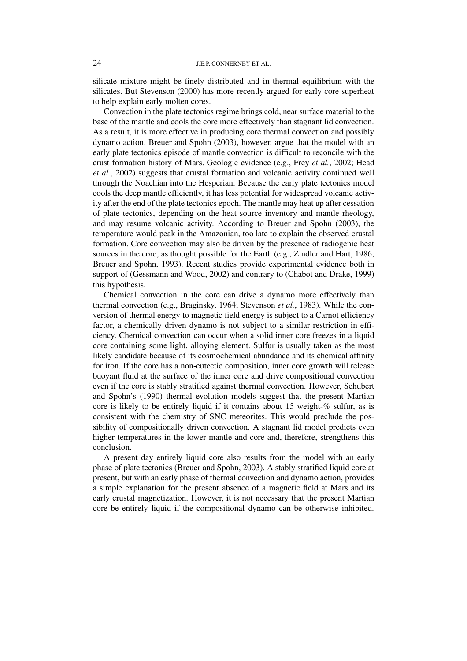silicate mixture might be finely distributed and in thermal equilibrium with the silicates. But Stevenson (2000) has more recently argued for early core superheat to help explain early molten cores.

Convection in the plate tectonics regime brings cold, near surface material to the base of the mantle and cools the core more effectively than stagnant lid convection. As a result, it is more effective in producing core thermal convection and possibly dynamo action. Breuer and Spohn (2003), however, argue that the model with an early plate tectonics episode of mantle convection is difficult to reconcile with the crust formation history of Mars. Geologic evidence (e.g., Frey *et al.*, 2002; Head *et al.*, 2002) suggests that crustal formation and volcanic activity continued well through the Noachian into the Hesperian. Because the early plate tectonics model cools the deep mantle efficiently, it has less potential for widespread volcanic activity after the end of the plate tectonics epoch. The mantle may heat up after cessation of plate tectonics, depending on the heat source inventory and mantle rheology, and may resume volcanic activity. According to Breuer and Spohn (2003), the temperature would peak in the Amazonian, too late to explain the observed crustal formation. Core convection may also be driven by the presence of radiogenic heat sources in the core, as thought possible for the Earth (e.g., Zindler and Hart, 1986; Breuer and Spohn, 1993). Recent studies provide experimental evidence both in support of (Gessmann and Wood, 2002) and contrary to (Chabot and Drake, 1999) this hypothesis.

Chemical convection in the core can drive a dynamo more effectively than thermal convection (e.g., Braginsky, 1964; Stevenson *et al.*, 1983). While the conversion of thermal energy to magnetic field energy is subject to a Carnot efficiency factor, a chemically driven dynamo is not subject to a similar restriction in efficiency. Chemical convection can occur when a solid inner core freezes in a liquid core containing some light, alloying element. Sulfur is usually taken as the most likely candidate because of its cosmochemical abundance and its chemical affinity for iron. If the core has a non-eutectic composition, inner core growth will release buoyant fluid at the surface of the inner core and drive compositional convection even if the core is stably stratified against thermal convection. However, Schubert and Spohn's (1990) thermal evolution models suggest that the present Martian core is likely to be entirely liquid if it contains about 15 weight-% sulfur, as is consistent with the chemistry of SNC meteorites. This would preclude the possibility of compositionally driven convection. A stagnant lid model predicts even higher temperatures in the lower mantle and core and, therefore, strengthens this conclusion.

A present day entirely liquid core also results from the model with an early phase of plate tectonics (Breuer and Spohn, 2003). A stably stratified liquid core at present, but with an early phase of thermal convection and dynamo action, provides a simple explanation for the present absence of a magnetic field at Mars and its early crustal magnetization. However, it is not necessary that the present Martian core be entirely liquid if the compositional dynamo can be otherwise inhibited.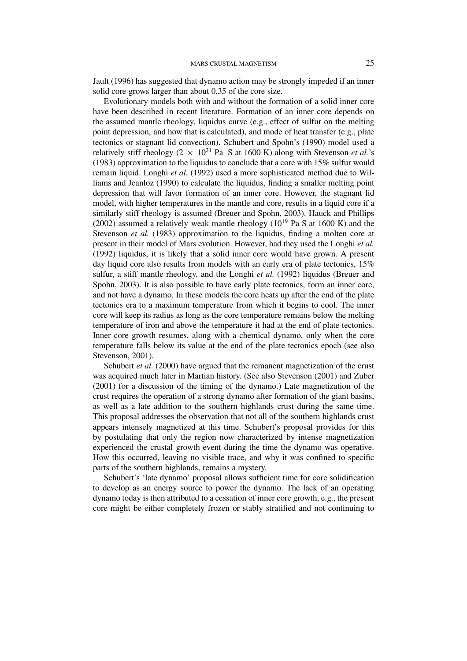Jault (1996) has suggested that dynamo action may be strongly impeded if an inner solid core grows larger than about 0.35 of the core size.

Evolutionary models both with and without the formation of a solid inner core have been described in recent literature. Formation of an inner core depends on the assumed mantle rheology, liquidus curve (e.g., effect of sulfur on the melting point depression, and how that is calculated), and mode of heat transfer (e.g., plate tectonics or stagnant lid convection). Schubert and Spohn's (1990) model used a relatively stiff rheology  $(2 \times 10^{21} \text{ Pa} \text{ S at } 1600 \text{ K})$  along with Stevenson *et al.*'s (1983) approximation to the liquidus to conclude that a core with 15% sulfur would remain liquid. Longhi *et al.* (1992) used a more sophisticated method due to Williams and Jeanloz (1990) to calculate the liquidus, finding a smaller melting point depression that will favor formation of an inner core. However, the stagnant lid model, with higher temperatures in the mantle and core, results in a liquid core if a similarly stiff rheology is assumed (Breuer and Spohn, 2003). Hauck and Phillips (2002) assumed a relatively weak mantle rheology ( $10^{19}$  Pa S at 1600 K) and the Stevenson *et al.* (1983) approximation to the liquidus, finding a molten core at present in their model of Mars evolution. However, had they used the Longhi *et al.* (1992) liquidus, it is likely that a solid inner core would have grown. A present day liquid core also results from models with an early era of plate tectonics,  $15\%$ sulfur, a stiff mantle rheology, and the Longhi *et al.* (1992) liquidus (Breuer and Spohn, 2003). It is also possible to have early plate tectonics, form an inner core, and not have a dynamo. In these models the core heats up after the end of the plate tectonics era to a maximum temperature from which it begins to cool. The inner core will keep its radius as long as the core temperature remains below the melting temperature of iron and above the temperature it had at the end of plate tectonics. Inner core growth resumes, along with a chemical dynamo, only when the core temperature falls below its value at the end of the plate tectonics epoch (see also Stevenson, 2001).

Schubert *et al.* (2000) have argued that the remanent magnetization of the crust was acquired much later in Martian history. (See also Stevenson (2001) and Zuber (2001) for a discussion of the timing of the dynamo.) Late magnetization of the crust requires the operation of a strong dynamo after formation of the giant basins, as well as a late addition to the southern highlands crust during the same time. This proposal addresses the observation that not all of the southern highlands crust appears intensely magnetized at this time. Schubert's proposal provides for this by postulating that only the region now characterized by intense magnetization experienced the crustal growth event during the time the dynamo was operative. How this occurred, leaving no visible trace, and why it was confined to specific parts of the southern highlands, remains a mystery.

Schubert's 'late dynamo' proposal allows sufficient time for core solidification to develop as an energy source to power the dynamo. The lack of an operating dynamo today is then attributed to a cessation of inner core growth, e.g., the present core might be either completely frozen or stably stratified and not continuing to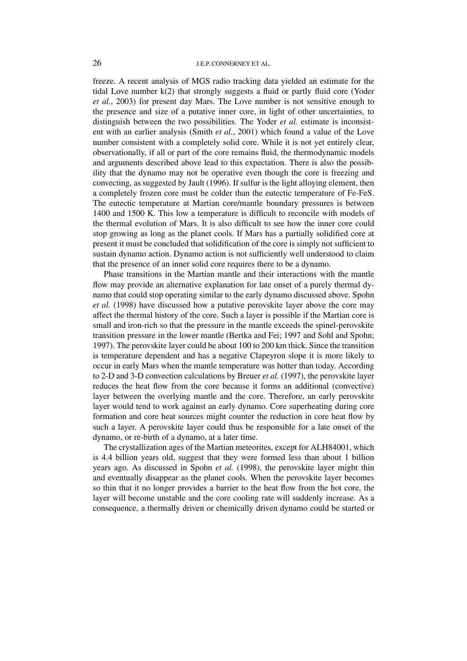freeze. A recent analysis of MGS radio tracking data yielded an estimate for the tidal Love number k(2) that strongly suggests a fluid or partly fluid core (Yoder *et al.*, 2003) for present day Mars. The Love number is not sensitive enough to the presence and size of a putative inner core, in light of other uncertainties, to distinguish between the two possibilities. The Yoder *et al.* estimate is inconsistent with an earlier analysis (Smith *et al.*, 2001) which found a value of the Love number consistent with a completely solid core. While it is not yet entirely clear, observationally, if all or part of the core remains fluid, the thermodynamic models and arguments described above lead to this expectation. There is also the possibility that the dynamo may not be operative even though the core is freezing and convecting, as suggested by Jault (1996). If sulfur is the light alloying element, then a completely frozen core must be colder than the eutectic temperature of Fe-FeS. The eutectic temperature at Martian core/mantle boundary pressures is between 1400 and 1500 K. This low a temperature is difficult to reconcile with models of the thermal evolution of Mars. It is also difficult to see how the inner core could stop growing as long as the planet cools. If Mars has a partially solidified core at present it must be concluded that solidification of the core is simply not sufficient to sustain dynamo action. Dynamo action is not sufficiently well understood to claim that the presence of an inner solid core requires there to be a dynamo.

Phase transitions in the Martian mantle and their interactions with the mantle flow may provide an alternative explanation for late onset of a purely thermal dynamo that could stop operating similar to the early dynamo discussed above. Spohn *et al.* (1998) have discussed how a putative perovskite layer above the core may affect the thermal history of the core. Such a layer is possible if the Martian core is small and iron-rich so that the pressure in the mantle exceeds the spinel-perovskite transition pressure in the lower mantle (Bertka and Fei; 1997 and Sohl and Spohn; 1997). The perovskite layer could be about 100 to 200 km thick. Since the transition is temperature dependent and has a negative Clapeyron slope it is more likely to occur in early Mars when the mantle temperature was hotter than today. According to 2-D and 3-D convection calculations by Breuer *et al.* (1997), the perovskite layer reduces the heat flow from the core because it forms an additional (convective) layer between the overlying mantle and the core. Therefore, an early perovskite layer would tend to work against an early dynamo. Core superheating during core formation and core heat sources might counter the reduction in core heat flow by such a layer. A perovskite layer could thus be responsible for a late onset of the dynamo, or re-birth of a dynamo, at a later time.

The crystallization ages of the Martian meteorites, except for ALH84001, which is 4.4 billion years old, suggest that they were formed less than about 1 billion years ago. As discussed in Spohn *et al.* (1998), the perovskite layer might thin and eventually disappear as the planet cools. When the perovskite layer becomes so thin that it no longer provides a barrier to the heat flow from the hot core, the layer will become unstable and the core cooling rate will suddenly increase. As a consequence, a thermally driven or chemically driven dynamo could be started or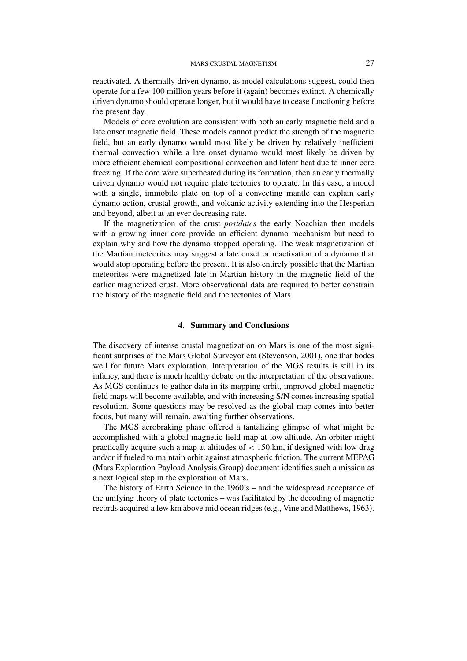reactivated. A thermally driven dynamo, as model calculations suggest, could then operate for a few 100 million years before it (again) becomes extinct. A chemically driven dynamo should operate longer, but it would have to cease functioning before the present day.

Models of core evolution are consistent with both an early magnetic field and a late onset magnetic field. These models cannot predict the strength of the magnetic field, but an early dynamo would most likely be driven by relatively inefficient thermal convection while a late onset dynamo would most likely be driven by more efficient chemical compositional convection and latent heat due to inner core freezing. If the core were superheated during its formation, then an early thermally driven dynamo would not require plate tectonics to operate. In this case, a model with a single, immobile plate on top of a convecting mantle can explain early dynamo action, crustal growth, and volcanic activity extending into the Hesperian and beyond, albeit at an ever decreasing rate.

If the magnetization of the crust *postdates* the early Noachian then models with a growing inner core provide an efficient dynamo mechanism but need to explain why and how the dynamo stopped operating. The weak magnetization of the Martian meteorites may suggest a late onset or reactivation of a dynamo that would stop operating before the present. It is also entirely possible that the Martian meteorites were magnetized late in Martian history in the magnetic field of the earlier magnetized crust. More observational data are required to better constrain the history of the magnetic field and the tectonics of Mars.

# **4. Summary and Conclusions**

The discovery of intense crustal magnetization on Mars is one of the most significant surprises of the Mars Global Surveyor era (Stevenson, 2001), one that bodes well for future Mars exploration. Interpretation of the MGS results is still in its infancy, and there is much healthy debate on the interpretation of the observations. As MGS continues to gather data in its mapping orbit, improved global magnetic field maps will become available, and with increasing S/N comes increasing spatial resolution. Some questions may be resolved as the global map comes into better focus, but many will remain, awaiting further observations.

The MGS aerobraking phase offered a tantalizing glimpse of what might be accomplished with a global magnetic field map at low altitude. An orbiter might practically acquire such a map at altitudes of *<* 150 km, if designed with low drag and/or if fueled to maintain orbit against atmospheric friction. The current MEPAG (Mars Exploration Payload Analysis Group) document identifies such a mission as a next logical step in the exploration of Mars.

The history of Earth Science in the 1960's – and the widespread acceptance of the unifying theory of plate tectonics – was facilitated by the decoding of magnetic records acquired a few km above mid ocean ridges (e.g., Vine and Matthews, 1963).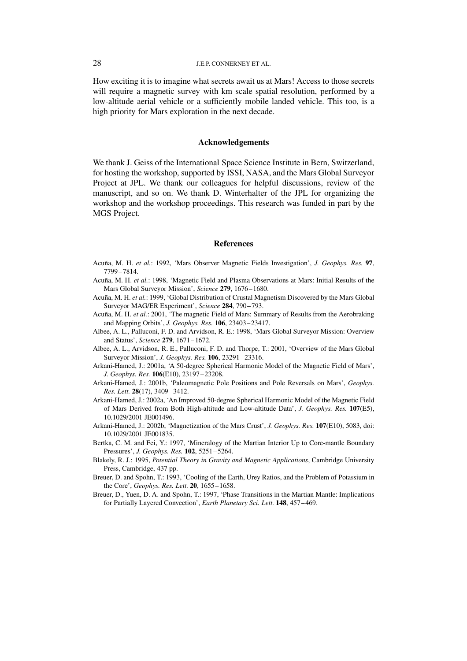How exciting it is to imagine what secrets await us at Mars! Access to those secrets will require a magnetic survey with km scale spatial resolution, performed by a low-altitude aerial vehicle or a sufficiently mobile landed vehicle. This too, is a high priority for Mars exploration in the next decade.

## **Acknowledgements**

We thank J. Geiss of the International Space Science Institute in Bern, Switzerland, for hosting the workshop, supported by ISSI, NASA, and the Mars Global Surveyor Project at JPL. We thank our colleagues for helpful discussions, review of the manuscript, and so on. We thank D. Winterhalter of the JPL for organizing the workshop and the workshop proceedings. This research was funded in part by the MGS Project.

#### **References**

- Acuña, M. H. *et al.*: 1992, 'Mars Observer Magnetic Fields Investigation', *J. Geophys. Res.* **97**, 7799–7814.
- Acuña, M. H. *et al.*: 1998, 'Magnetic Field and Plasma Observations at Mars: Initial Results of the Mars Global Surveyor Mission', *Science* **279**, 1676–1680.
- Acuña, M. H. *et al.*: 1999, 'Global Distribution of Crustal Magnetism Discovered by the Mars Global Surveyor MAG/ER Experiment', *Science* **284**, 790–793.
- Acuña, M. H. *et al.*: 2001, 'The magnetic Field of Mars: Summary of Results from the Aerobraking and Mapping Orbits', *J. Geophys. Res.* **106**, 23403–23417.
- Albee, A. L., Palluconi, F. D. and Arvidson, R. E.: 1998, 'Mars Global Surveyor Mission: Overview and Status', *Science* **279**, 1671–1672.
- Albee, A. L., Arvidson, R. E., Palluconi, F. D. and Thorpe, T.: 2001, 'Overview of the Mars Global Surveyor Mission', *J. Geophys. Res.* **106**, 23291–23316.
- Arkani-Hamed, J.: 2001a, 'A 50-degree Spherical Harmonic Model of the Magnetic Field of Mars', *J. Geophys. Res.* **106**(E10), 23197–23208.
- Arkani-Hamed, J.: 2001b, 'Paleomagnetic Pole Positions and Pole Reversals on Mars', *Geophys. Res. Lett.* **28**(17), 3409–3412.
- Arkani-Hamed, J.: 2002a, 'An Improved 50-degree Spherical Harmonic Model of the Magnetic Field of Mars Derived from Both High-altitude and Low-altitude Data', *J. Geophys. Res.* **107**(E5), 10.1029/2001 JE001496.
- Arkani-Hamed, J.: 2002b, 'Magnetization of the Mars Crust', *J. Geophys. Res.* **107**(E10), 5083, doi: 10.1029/2001 JE001835.
- Bertka, C. M. and Fei, Y.: 1997, 'Mineralogy of the Martian Interior Up to Core-mantle Boundary Pressures', *J. Geophys. Res.* **102**, 5251–5264.
- Blakely, R. J.: 1995, *Potential Theory in Gravity and Magnetic Applications*, Cambridge University Press, Cambridge, 437 pp.
- Breuer, D. and Spohn, T.: 1993, 'Cooling of the Earth, Urey Ratios, and the Problem of Potassium in the Core', *Geophys. Res. Lett.* **20**, 1655–1658.
- Breuer, D., Yuen, D. A. and Spohn, T.: 1997, 'Phase Transitions in the Martian Mantle: Implications for Partially Layered Convection', *Earth Planetary Sci. Lett.* **148**, 457–469.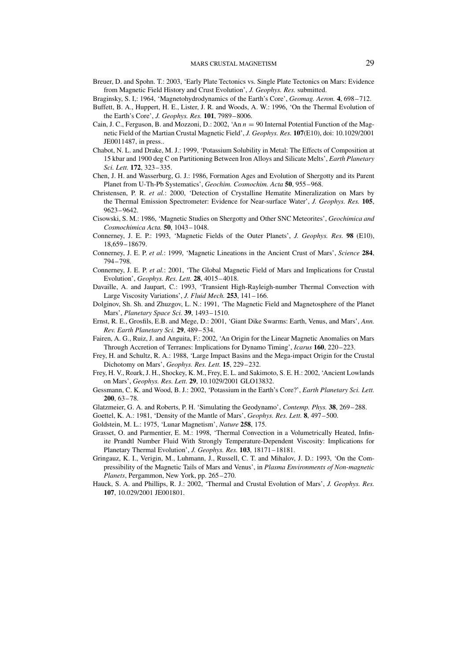- Breuer, D. and Spohn. T.: 2003, 'Early Plate Tectonics vs. Single Plate Tectonics on Mars: Evidence from Magnetic Field History and Crust Evolution', *J. Geophys. Res.* submitted.
- Braginsky, S. I,: 1964, 'Magnetohydrodynamics of the Earth's Core', *Geomag. Aeron.* **4**, 698–712.
- Buffett, B. A., Huppert, H. E., Lister, J. R. and Woods, A. W.: 1996, 'On the Thermal Evolution of the Earth's Core', *J. Geophys. Res.* **101**, 7989–8006.
- Cain, J. C., Ferguson, B. and Mozzoni, D.: 2002, 'An *n* = 90 Internal Potential Function of the Magnetic Field of the Martian Crustal Magnetic Field', *J. Geophys. Res.* **107**(E10), doi: 10.1029/2001 JE0011487, in press..
- Chabot, N. L. and Drake, M. J.: 1999, 'Potassium Solubility in Metal: The Effects of Composition at 15 kbar and 1900 deg C on Partitioning Between Iron Alloys and Silicate Melts', *Earth Planetary Sci. Lett.* **172**, 323–335.
- Chen, J. H. and Wasserburg, G. J.: 1986, Formation Ages and Evolution of Shergotty and its Parent Planet from U-Th-Pb Systematics', *Geochim. Cosmochim. Acta* **50**, 955–968.
- Christensen, P. R. *et al.*: 2000, 'Detection of Crystalline Hematite Mineralization on Mars by the Thermal Emission Spectrometer: Evidence for Near-surface Water', *J. Geophys. Res.* **105**, 9623–9642.
- Cisowski, S. M.: 1986, 'Magnetic Studies on Shergotty and Other SNC Meteorites', *Geochimica and Cosmochimica Acta.* **50**, 1043–1048.
- Connerney, J. E. P.: 1993, 'Magnetic Fields of the Outer Planets', *J. Geophys. Res.* **98** (E10), 18,659–18679.
- Connerney, J. E. P. *et al.*: 1999, 'Magnetic Lineations in the Ancient Crust of Mars', *Science* **284**, 794–798.
- Connerney, J. E. P. *et al.*: 2001, 'The Global Magnetic Field of Mars and Implications for Crustal Evolution', *Geophys. Res. Lett.* **28**, 4015–4018.
- Davaille, A. and Jaupart, C.: 1993, 'Transient High-Rayleigh-number Thermal Convection with Large Viscosity Variations', *J. Fluid Mech.* **253**, 141–166.
- Dolginov, Sh. Sh. and Zhuzgov, L. N.: 1991, 'The Magnetic Field and Magnetosphere of the Planet Mars', *Planetary Space Sci.* **39**, 1493–1510.
- Ernst, R. E., Grosfils, E.B. and Mege, D.: 2001, 'Giant Dike Swarms: Earth, Venus, and Mars', *Ann. Rev. Earth Planetary Sci.* **29**, 489–534.
- Fairen, A. G., Ruiz, J. and Anguita, F.: 2002, 'An Origin for the Linear Magnetic Anomalies on Mars Through Accretion of Terranes: Implications for Dynamo Timing', *Icarus* **160**, 220–223.
- Frey, H. and Schultz, R. A.: 1988, 'Large Impact Basins and the Mega-impact Origin for the Crustal Dichotomy on Mars', *Geophys. Res. Lett.* **15**, 229–232.
- Frey, H. V., Roark, J. H., Shockey, K. M., Frey, E. L. and Sakimoto, S. E. H.: 2002, 'Ancient Lowlands on Mars', *Geophys. Res. Lett.* **29**, 10.1029/2001 GLO13832.
- Gessmann, C. K. and Wood, B. J.: 2002, 'Potassium in the Earth's Core?', *Earth Planetary Sci. Lett.* **200**, 63–78.
- Glatzmeier, G. A. and Roberts, P. H. 'Simulating the Geodynamo', *Contemp. Phys.* **38**, 269–288.
- Goettel, K. A.: 1981, 'Density of the Mantle of Mars', *Geophys. Res. Lett.* **8**, 497–500.
- Goldstein, M. L.: 1975, 'Lunar Magnetism', *Nature* **258**, 175.
- Grasset, O. and Parmentier, E. M.: 1998, 'Thermal Convection in a Volumetrically Heated, Infinite Prandtl Number Fluid With Strongly Temperature-Dependent Viscosity: Implications for Planetary Thermal Evolution', *J. Geophys. Res.* **103**, 18171–18181.
- Gringauz, K. I., Verigin, M., Luhmann, J., Russell, C. T. and Mihalov, J. D.: 1993, 'On the Compressibility of the Magnetic Tails of Mars and Venus', in *Plasma Environments of Non-magnetic Planets*, Pergammon, New York, pp. 265–270.
- Hauck, S. A. and Phillips, R. J.: 2002, 'Thermal and Crustal Evolution of Mars', *J. Geophys. Res.* **107**, 10.029/2001 JE001801.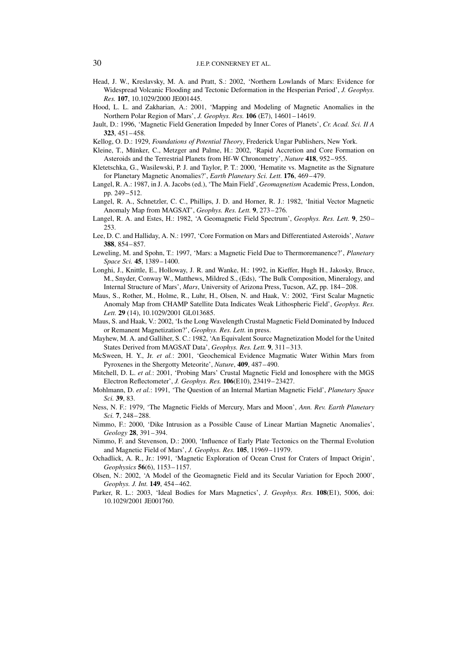- Head, J. W., Kreslavsky, M. A. and Pratt, S.: 2002, 'Northern Lowlands of Mars: Evidence for Widespread Volcanic Flooding and Tectonic Deformation in the Hesperian Period', *J. Geophys. Res.* **107**, 10.1029/2000 JE001445.
- Hood, L. L. and Zakharian, A.: 2001, 'Mapping and Modeling of Magnetic Anomalies in the Northern Polar Region of Mars', *J. Geophys. Res.* **106** (E7), 14601–14619.
- Jault, D.: 1996, 'Magnetic Field Generation Impeded by Inner Cores of Planets', *Cr. Acad. Sci. II A* **323**, 451–458.
- Kellog, O. D.: 1929, *Foundations of Potential Theory*, Frederick Ungar Publishers, New York.
- Kleine, T., Münker, C., Metzger and Palme, H.: 2002, 'Rapid Accretion and Core Formation on Asteroids and the Terrestrial Planets from Hf-W Chronometry', *Nature* **418**, 952–955.
- Kletetschka, G., Wasilewski, P. J. and Taylor, P. T.: 2000, 'Hematite vs. Magnetite as the Signature for Planetary Magnetic Anomalies?', *Earth Planetary Sci. Lett.* **176**, 469–479.
- Langel, R. A.: 1987, in J. A. Jacobs (ed.), 'The Main Field', *Geomagnetism* Academic Press, London, pp. 249–512.
- Langel, R. A., Schnetzler, C. C., Phillips, J. D. and Horner, R. J.: 1982, 'Initial Vector Magnetic Anomaly Map from MAGSAT', *Geophys. Res. Lett.* **9**, 273–276.
- Langel, R. A. and Estes, H.: 1982, 'A Geomagnetic Field Spectrum', *Geophys. Res. Lett.* **9**, 250– 253.
- Lee, D. C. and Halliday, A. N.: 1997, 'Core Formation on Mars and Differentiated Asteroids', *Nature* **388**, 854–857.
- Leweling, M. and Spohn, T.: 1997, 'Mars: a Magnetic Field Due to Thermoremanence?', *Planetary Space Sci.* **45**, 1389–1400.
- Longhi, J., Knittle, E., Holloway, J. R. and Wanke, H.: 1992, in Kieffer, Hugh H., Jakosky, Bruce, M., Snyder, Conway W., Matthews, Mildred S., (Eds), 'The Bulk Composition, Mineralogy, and Internal Structure of Mars', *Mars*, University of Arizona Press, Tucson, AZ, pp. 184–208.
- Maus, S., Rother, M., Holme, R., Luhr, H., Olsen, N. and Haak, V.: 2002, 'First Scalar Magnetic Anomaly Map from CHAMP Satellite Data Indicates Weak Lithospheric Field', *Geophys. Res. Lett.* **29** (14), 10.1029/2001 GL013685.
- Maus, S. and Haak, V.: 2002, 'Is the Long Wavelength Crustal Magnetic Field Dominated by Induced or Remanent Magnetization?', *Geophys. Res. Lett.* in press.
- Mayhew, M. A. and Galliher, S. C.: 1982, 'An Equivalent Source Magnetization Model for the United States Derived from MAGSAT Data', *Geophys. Res. Lett.* **9**, 311–313.
- McSween, H. Y., Jr. *et al.*: 2001, 'Geochemical Evidence Magmatic Water Within Mars from Pyroxenes in the Shergotty Meteorite', *Nature*, **409**, 487–490.
- Mitchell, D. L. *et al.*: 2001, 'Probing Mars' Crustal Magnetic Field and Ionosphere with the MGS Electron Reflectometer', *J. Geophys. Res.* **106**(E10), 23419–23427.
- Mohlmann, D. *et al.*: 1991, 'The Question of an Internal Martian Magnetic Field', *Planetary Space Sci.* **39**, 83.
- Ness, N. F.: 1979, 'The Magnetic Fields of Mercury, Mars and Moon', *Ann. Rev. Earth Planetary Sci.* **7**, 248–288.
- Nimmo, F.: 2000, 'Dike Intrusion as a Possible Cause of Linear Martian Magnetic Anomalies', *Geology* **28**, 391–394.
- Nimmo, F. and Stevenson, D.: 2000, 'Influence of Early Plate Tectonics on the Thermal Evolution and Magnetic Field of Mars', *J. Geophys. Res.* **105**, 11969–11979.
- Ochadlick, A. R., Jr.: 1991, 'Magnetic Exploration of Ocean Crust for Craters of Impact Origin', *Geophysics* **56**(6), 1153–1157.
- Olsen, N.: 2002, 'A Model of the Geomagnetic Field and its Secular Variation for Epoch 2000', *Geophys. J. Int.* **149**, 454–462.
- Parker, R. L.: 2003, 'Ideal Bodies for Mars Magnetics', *J. Geophys. Res.* **108**(E1), 5006, doi: 10.1029/2001 JE001760.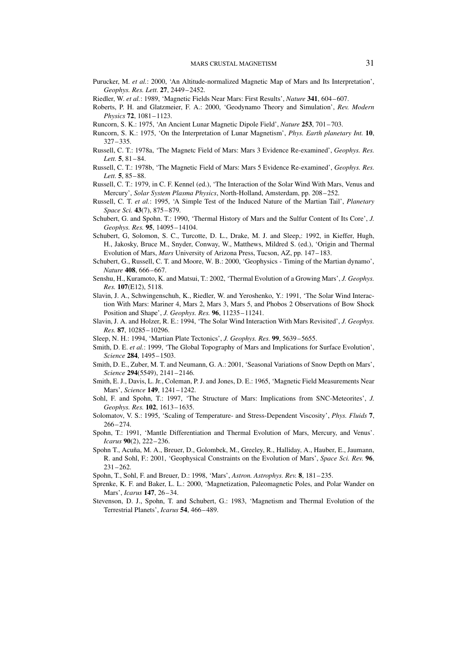- Purucker, M. *et al.*: 2000, 'An Altitude-normalized Magnetic Map of Mars and Its Interpretation', *Geophys. Res. Lett.* **27**, 2449–2452.
- Riedler, W. *et al.*: 1989, 'Magnetic Fields Near Mars: First Results', *Nature* **341**, 604–607.
- Roberts, P. H. and Glatzmeier, F. A.: 2000, 'Geodynamo Theory and Simulation', *Rev. Modern Physics* **72**, 1081–1123.
- Runcorn, S. K.: 1975, 'An Ancient Lunar Magnetic Dipole Field', *Nature* **253**, 701–703.
- Runcorn, S. K.: 1975, 'On the Interpretation of Lunar Magnetism', *Phys. Earth planetary Int.* **10**, 327–335.
- Russell, C. T.: 1978a, 'The Magnetc Field of Mars: Mars 3 Evidence Re-examined', *Geophys. Res. Lett.* **5**, 81–84.
- Russell, C. T.: 1978b, 'The Magnetic Field of Mars: Mars 5 Evidence Re-examined', *Geophys. Res. Lett.* **5**, 85–88.
- Russell, C. T.: 1979, in C. F. Kennel (ed.), 'The Interaction of the Solar Wind With Mars, Venus and Mercury', *Solar System Plasma Physics*, North-Holland, Amsterdam, pp. 208–252.
- Russell, C. T. *et al.*: 1995, 'A Simple Test of the Induced Nature of the Martian Tail', *Planetary Space Sci.* **43**(7), 875–879.
- Schubert, G. and Spohn. T.: 1990, 'Thermal History of Mars and the Sulfur Content of Its Core', *J. Geophys. Res.* **95**, 14095–14104.
- Schubert, G, Solomon, S. C., Turcotte, D. L., Drake, M. J. and Sleep,: 1992, in Kieffer, Hugh, H., Jakosky, Bruce M., Snyder, Conway, W., Matthews, Mildred S. (ed.), 'Origin and Thermal Evolution of Mars, *Mars* University of Arizona Press, Tucson, AZ, pp. 147–183.
- Schubert, G., Russell, C. T. and Moore, W. B.: 2000, 'Geophysics Timing of the Martian dynamo', *Nature* **408**, 666–667.
- Senshu, H., Kuramoto, K. and Matsui, T.: 2002, 'Thermal Evolution of a Growing Mars', *J. Geophys. Res.* **107**(E12), 5118.
- Slavin, J. A., Schwingenschuh, K., Riedler, W. and Yeroshenko, Y.: 1991, 'The Solar Wind Interaction With Mars: Mariner 4, Mars 2, Mars 3, Mars 5, and Phobos 2 Observations of Bow Shock Position and Shape', *J. Geophys. Res.* **96**, 11235–11241.
- Slavin, J. A. and Holzer, R. E.: 1994, 'The Solar Wind Interaction With Mars Revisited', *J. Geophys. Res.* **87**, 10285–10296.
- Sleep, N. H.: 1994, 'Martian Plate Tectonics', *J. Geophys. Res.* **99**, 5639–5655.
- Smith, D. E. *et al.*: 1999, 'The Global Topography of Mars and Implications for Surface Evolution', *Science* **284**, 1495–1503.
- Smith, D. E., Zuber, M. T. and Neumann, G. A.: 2001, 'Seasonal Variations of Snow Depth on Mars', *Science* **294**(5549), 2141–2146.
- Smith, E. J., Davis, L. Jr., Coleman, P. J. and Jones, D. E.: 1965, 'Magnetic Field Measurements Near Mars', *Science* **149**, 1241–1242.
- Sohl, F. and Spohn, T.: 1997, 'The Structure of Mars: Implications from SNC-Meteorites', *J. Geophys. Res.* **102**, 1613–1635.
- Solomatov, V. S.: 1995, 'Scaling of Temperature- and Stress-Dependent Viscosity', *Phys. Fluids* **7**, 266–274.
- Spohn, T.: 1991, 'Mantle Differentiation and Thermal Evolution of Mars, Mercury, and Venus'. *Icarus* **90**(2), 222–236.
- Spohn T., Acuña, M. A., Breuer, D., Golombek, M., Greeley, R., Halliday, A., Hauber, E., Jaumann, R. and Sohl, F.: 2001, 'Geophysical Constraints on the Evolution of Mars', *Space Sci. Rev.* **96**, 231–262.
- Spohn, T., Sohl, F. and Breuer, D.: 1998, 'Mars', *Astron. Astrophys. Rev.* **8**, 181–235.
- Sprenke, K. F. and Baker, L. L.: 2000, 'Magnetization, Paleomagnetic Poles, and Polar Wander on Mars', *Icarus* **147**, 26–34.
- Stevenson, D. J., Spohn, T. and Schubert, G.: 1983, 'Magnetism and Thermal Evolution of the Terrestrial Planets', *Icarus* **54**, 466–489.